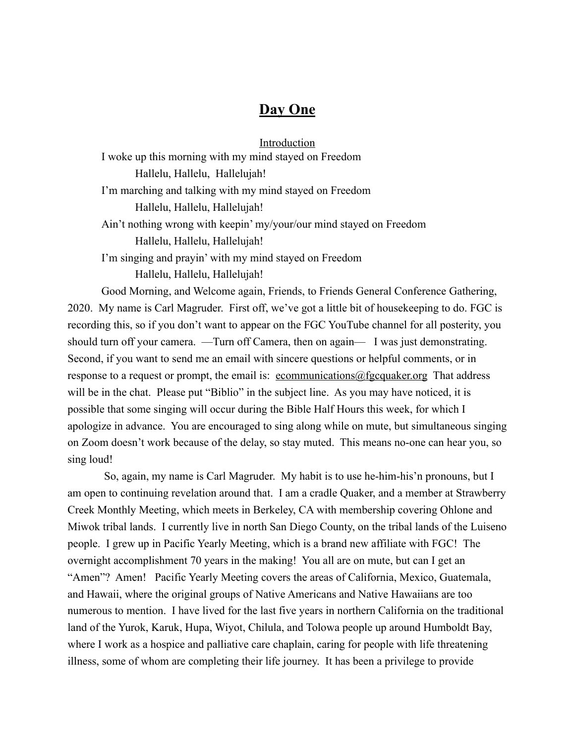## **Day One**

Introduction

 I woke up this morning with my mind stayed on Freedom Hallelu, Hallelu, Hallelujah! I'm marching and talking with my mind stayed on Freedom Hallelu, Hallelu, Hallelujah! Ain't nothing wrong with keepin' my/your/our mind stayed on Freedom Hallelu, Hallelu, Hallelujah! I'm singing and prayin' with my mind stayed on Freedom Hallelu, Hallelu, Hallelujah!

 Good Morning, and Welcome again, Friends, to Friends General Conference Gathering, 2020. My name is Carl Magruder. First off, we've got a little bit of housekeeping to do. FGC is recording this, so if you don't want to appear on the FGC YouTube channel for all posterity, you should turn off your camera. —Turn off Camera, then on again— I was just demonstrating. Second, if you want to send me an email with sincere questions or helpful comments, or in response to a request or prompt, the email is: [ecommunications@fgcquaker.org](mailto:ecommunications@fgcquaker.org) That address will be in the chat. Please put "Biblio" in the subject line. As you may have noticed, it is possible that some singing will occur during the Bible Half Hours this week, for which I apologize in advance. You are encouraged to sing along while on mute, but simultaneous singing on Zoom doesn't work because of the delay, so stay muted. This means no-one can hear you, so sing loud!

 So, again, my name is Carl Magruder. My habit is to use he-him-his'n pronouns, but I am open to continuing revelation around that. I am a cradle Quaker, and a member at Strawberry Creek Monthly Meeting, which meets in Berkeley, CA with membership covering Ohlone and Miwok tribal lands. I currently live in north San Diego County, on the tribal lands of the Luiseno people. I grew up in Pacific Yearly Meeting, which is a brand new affiliate with FGC! The overnight accomplishment 70 years in the making! You all are on mute, but can I get an "Amen"? Amen! Pacific Yearly Meeting covers the areas of California, Mexico, Guatemala, and Hawaii, where the original groups of Native Americans and Native Hawaiians are too numerous to mention. I have lived for the last five years in northern California on the traditional land of the Yurok, Karuk, Hupa, Wiyot, Chilula, and Tolowa people up around Humboldt Bay, where I work as a hospice and palliative care chaplain, caring for people with life threatening illness, some of whom are completing their life journey. It has been a privilege to provide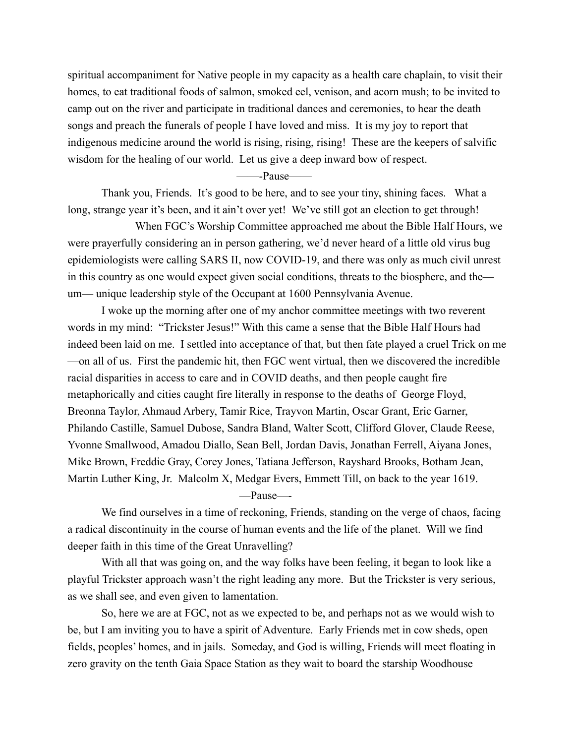spiritual accompaniment for Native people in my capacity as a health care chaplain, to visit their homes, to eat traditional foods of salmon, smoked eel, venison, and acorn mush; to be invited to camp out on the river and participate in traditional dances and ceremonies, to hear the death songs and preach the funerals of people I have loved and miss. It is my joy to report that indigenous medicine around the world is rising, rising, rising! These are the keepers of salvific wisdom for the healing of our world. Let us give a deep inward bow of respect.

——-Pause——

 Thank you, Friends. It's good to be here, and to see your tiny, shining faces. What a long, strange year it's been, and it ain't over yet! We've still got an election to get through!

 When FGC's Worship Committee approached me about the Bible Half Hours, we were prayerfully considering an in person gathering, we'd never heard of a little old virus bug epidemiologists were calling SARS II, now COVID-19, and there was only as much civil unrest in this country as one would expect given social conditions, threats to the biosphere, and the um— unique leadership style of the Occupant at 1600 Pennsylvania Avenue.

 I woke up the morning after one of my anchor committee meetings with two reverent words in my mind: "Trickster Jesus!" With this came a sense that the Bible Half Hours had indeed been laid on me. I settled into acceptance of that, but then fate played a cruel Trick on me —on all of us. First the pandemic hit, then FGC went virtual, then we discovered the incredible racial disparities in access to care and in COVID deaths, and then people caught fire metaphorically and cities caught fire literally in response to the deaths of George Floyd, Breonna Taylor, Ahmaud Arbery, Tamir Rice, Trayvon Martin, Oscar Grant, Eric Garner, Philando Castille, Samuel Dubose, Sandra Bland, Walter Scott, Clifford Glover, Claude Reese, Yvonne Smallwood, Amadou Diallo, Sean Bell, Jordan Davis, Jonathan Ferrell, Aiyana Jones, Mike Brown, Freddie Gray, Corey Jones, Tatiana Jefferson, Rayshard Brooks, Botham Jean, Martin Luther King, Jr. Malcolm X, Medgar Evers, Emmett Till, on back to the year 1619.

—Pause—-

 We find ourselves in a time of reckoning, Friends, standing on the verge of chaos, facing a radical discontinuity in the course of human events and the life of the planet. Will we find deeper faith in this time of the Great Unravelling?

 With all that was going on, and the way folks have been feeling, it began to look like a playful Trickster approach wasn't the right leading any more. But the Trickster is very serious, as we shall see, and even given to lamentation.

 So, here we are at FGC, not as we expected to be, and perhaps not as we would wish to be, but I am inviting you to have a spirit of Adventure. Early Friends met in cow sheds, open fields, peoples' homes, and in jails. Someday, and God is willing, Friends will meet floating in zero gravity on the tenth Gaia Space Station as they wait to board the starship Woodhouse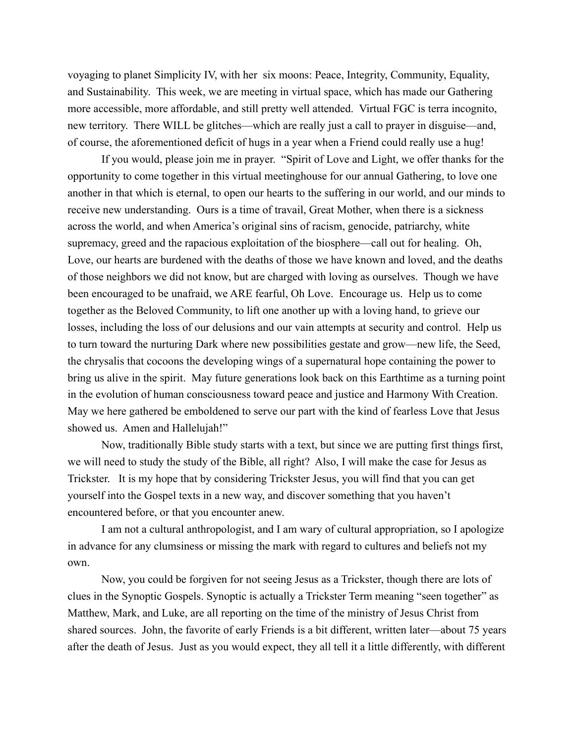voyaging to planet Simplicity IV, with her six moons: Peace, Integrity, Community, Equality, and Sustainability. This week, we are meeting in virtual space, which has made our Gathering more accessible, more affordable, and still pretty well attended. Virtual FGC is terra incognito, new territory. There WILL be glitches—which are really just a call to prayer in disguise—and, of course, the aforementioned deficit of hugs in a year when a Friend could really use a hug!

 If you would, please join me in prayer. "Spirit of Love and Light, we offer thanks for the opportunity to come together in this virtual meetinghouse for our annual Gathering, to love one another in that which is eternal, to open our hearts to the suffering in our world, and our minds to receive new understanding. Ours is a time of travail, Great Mother, when there is a sickness across the world, and when America's original sins of racism, genocide, patriarchy, white supremacy, greed and the rapacious exploitation of the biosphere—call out for healing. Oh, Love, our hearts are burdened with the deaths of those we have known and loved, and the deaths of those neighbors we did not know, but are charged with loving as ourselves. Though we have been encouraged to be unafraid, we ARE fearful, Oh Love. Encourage us. Help us to come together as the Beloved Community, to lift one another up with a loving hand, to grieve our losses, including the loss of our delusions and our vain attempts at security and control. Help us to turn toward the nurturing Dark where new possibilities gestate and grow—new life, the Seed, the chrysalis that cocoons the developing wings of a supernatural hope containing the power to bring us alive in the spirit. May future generations look back on this Earthtime as a turning point in the evolution of human consciousness toward peace and justice and Harmony With Creation. May we here gathered be emboldened to serve our part with the kind of fearless Love that Jesus showed us. Amen and Hallelujah!"

 Now, traditionally Bible study starts with a text, but since we are putting first things first, we will need to study the study of the Bible, all right? Also, I will make the case for Jesus as Trickster. It is my hope that by considering Trickster Jesus, you will find that you can get yourself into the Gospel texts in a new way, and discover something that you haven't encountered before, or that you encounter anew.

 I am not a cultural anthropologist, and I am wary of cultural appropriation, so I apologize in advance for any clumsiness or missing the mark with regard to cultures and beliefs not my own.

 Now, you could be forgiven for not seeing Jesus as a Trickster, though there are lots of clues in the Synoptic Gospels. Synoptic is actually a Trickster Term meaning "seen together" as Matthew, Mark, and Luke, are all reporting on the time of the ministry of Jesus Christ from shared sources. John, the favorite of early Friends is a bit different, written later—about 75 years after the death of Jesus. Just as you would expect, they all tell it a little differently, with different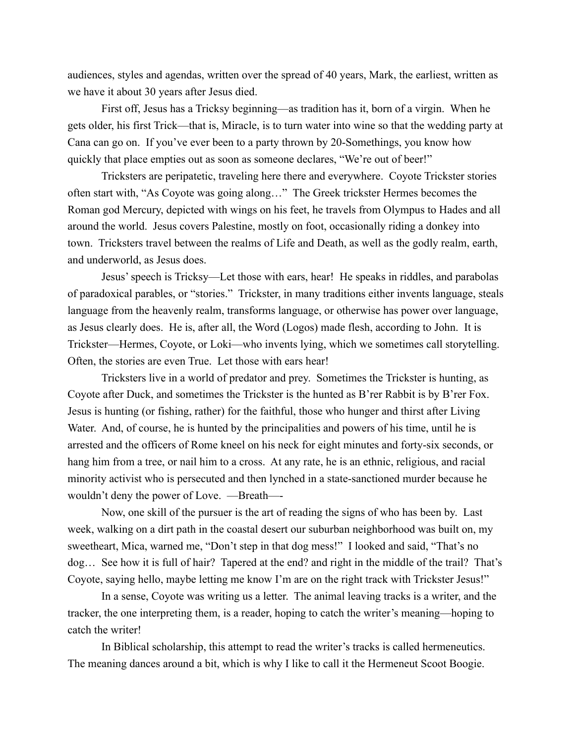audiences, styles and agendas, written over the spread of 40 years, Mark, the earliest, written as we have it about 30 years after Jesus died.

 First off, Jesus has a Tricksy beginning—as tradition has it, born of a virgin. When he gets older, his first Trick—that is, Miracle, is to turn water into wine so that the wedding party at Cana can go on. If you've ever been to a party thrown by 20-Somethings, you know how quickly that place empties out as soon as someone declares, "We're out of beer!"

 Tricksters are peripatetic, traveling here there and everywhere. Coyote Trickster stories often start with, "As Coyote was going along…" The Greek trickster Hermes becomes the Roman god Mercury, depicted with wings on his feet, he travels from Olympus to Hades and all around the world. Jesus covers Palestine, mostly on foot, occasionally riding a donkey into town. Tricksters travel between the realms of Life and Death, as well as the godly realm, earth, and underworld, as Jesus does.

 Jesus' speech is Tricksy—Let those with ears, hear! He speaks in riddles, and parabolas of paradoxical parables, or "stories." Trickster, in many traditions either invents language, steals language from the heavenly realm, transforms language, or otherwise has power over language, as Jesus clearly does. He is, after all, the Word (Logos) made flesh, according to John. It is Trickster—Hermes, Coyote, or Loki—who invents lying, which we sometimes call storytelling. Often, the stories are even True. Let those with ears hear!

 Tricksters live in a world of predator and prey. Sometimes the Trickster is hunting, as Coyote after Duck, and sometimes the Trickster is the hunted as B'rer Rabbit is by B'rer Fox. Jesus is hunting (or fishing, rather) for the faithful, those who hunger and thirst after Living Water. And, of course, he is hunted by the principalities and powers of his time, until he is arrested and the officers of Rome kneel on his neck for eight minutes and forty-six seconds, or hang him from a tree, or nail him to a cross. At any rate, he is an ethnic, religious, and racial minority activist who is persecuted and then lynched in a state-sanctioned murder because he wouldn't deny the power of Love. —Breath—-

 Now, one skill of the pursuer is the art of reading the signs of who has been by. Last week, walking on a dirt path in the coastal desert our suburban neighborhood was built on, my sweetheart, Mica, warned me, "Don't step in that dog mess!" I looked and said, "That's no dog… See how it is full of hair? Tapered at the end? and right in the middle of the trail? That's Coyote, saying hello, maybe letting me know I'm are on the right track with Trickster Jesus!"

 In a sense, Coyote was writing us a letter. The animal leaving tracks is a writer, and the tracker, the one interpreting them, is a reader, hoping to catch the writer's meaning—hoping to catch the writer!

 In Biblical scholarship, this attempt to read the writer's tracks is called hermeneutics. The meaning dances around a bit, which is why I like to call it the Hermeneut Scoot Boogie.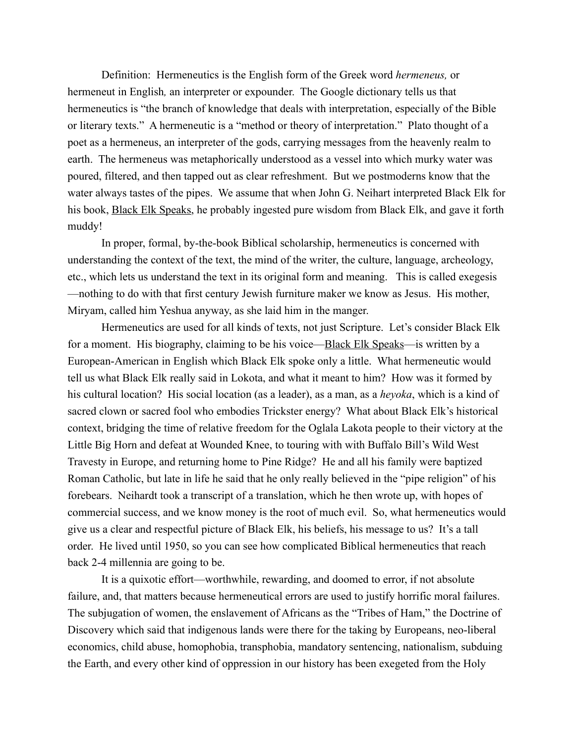Definition: Hermeneutics is the English form of the Greek word *hermeneus,* or hermeneut in English*,* an interpreter or expounder. The Google dictionary tells us that hermeneutics is "the branch of knowledge that deals with interpretation, especially of the Bible or literary texts." A hermeneutic is a "method or theory of interpretation." Plato thought of a poet as a hermeneus, an interpreter of the gods, carrying messages from the heavenly realm to earth. The hermeneus was metaphorically understood as a vessel into which murky water was poured, filtered, and then tapped out as clear refreshment. But we postmoderns know that the water always tastes of the pipes. We assume that when John G. Neihart interpreted Black Elk for his book, **Black Elk Speaks**, he probably ingested pure wisdom from Black Elk, and gave it forth muddy!

 In proper, formal, by-the-book Biblical scholarship, hermeneutics is concerned with understanding the context of the text, the mind of the writer, the culture, language, archeology, etc., which lets us understand the text in its original form and meaning. This is called exegesis —nothing to do with that first century Jewish furniture maker we know as Jesus. His mother, Miryam, called him Yeshua anyway, as she laid him in the manger.

 Hermeneutics are used for all kinds of texts, not just Scripture. Let's consider Black Elk for a moment. His biography, claiming to be his voice—Black Elk Speaks—is written by a European-American in English which Black Elk spoke only a little. What hermeneutic would tell us what Black Elk really said in Lokota, and what it meant to him? How was it formed by his cultural location? His social location (as a leader), as a man, as a *heyoka*, which is a kind of sacred clown or sacred fool who embodies Trickster energy? What about Black Elk's historical context, bridging the time of relative freedom for the Oglala Lakota people to their victory at the Little Big Horn and defeat at Wounded Knee, to touring with with Buffalo Bill's Wild West Travesty in Europe, and returning home to Pine Ridge? He and all his family were baptized Roman Catholic, but late in life he said that he only really believed in the "pipe religion" of his forebears. Neihardt took a transcript of a translation, which he then wrote up, with hopes of commercial success, and we know money is the root of much evil. So, what hermeneutics would give us a clear and respectful picture of Black Elk, his beliefs, his message to us? It's a tall order. He lived until 1950, so you can see how complicated Biblical hermeneutics that reach back 2-4 millennia are going to be.

 It is a quixotic effort—worthwhile, rewarding, and doomed to error, if not absolute failure, and, that matters because hermeneutical errors are used to justify horrific moral failures. The subjugation of women, the enslavement of Africans as the "Tribes of Ham," the Doctrine of Discovery which said that indigenous lands were there for the taking by Europeans, neo-liberal economics, child abuse, homophobia, transphobia, mandatory sentencing, nationalism, subduing the Earth, and every other kind of oppression in our history has been exegeted from the Holy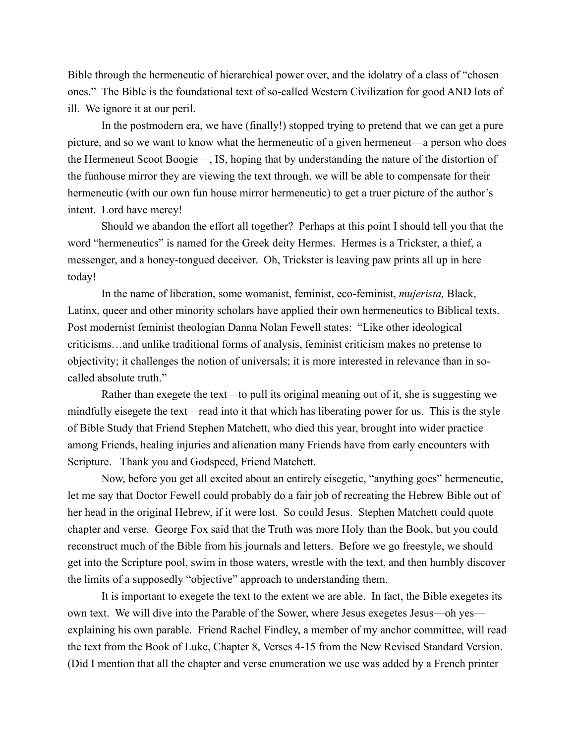Bible through the hermeneutic of hierarchical power over, and the idolatry of a class of "chosen ones." The Bible is the foundational text of so-called Western Civilization for good AND lots of ill. We ignore it at our peril.

 In the postmodern era, we have (finally!) stopped trying to pretend that we can get a pure picture, and so we want to know what the hermeneutic of a given hermeneut—a person who does the Hermeneut Scoot Boogie—, IS, hoping that by understanding the nature of the distortion of the funhouse mirror they are viewing the text through, we will be able to compensate for their hermeneutic (with our own fun house mirror hermeneutic) to get a truer picture of the author's intent. Lord have mercy!

 Should we abandon the effort all together? Perhaps at this point I should tell you that the word "hermeneutics" is named for the Greek deity Hermes. Hermes is a Trickster, a thief, a messenger, and a honey-tongued deceiver. Oh, Trickster is leaving paw prints all up in here today!

 In the name of liberation, some womanist, feminist, eco-feminist, *mujerista,* Black, Latinx, queer and other minority scholars have applied their own hermeneutics to Biblical texts. Post modernist feminist theologian Danna Nolan Fewell states: "Like other ideological criticisms…and unlike traditional forms of analysis, feminist criticism makes no pretense to objectivity; it challenges the notion of universals; it is more interested in relevance than in socalled absolute truth."

 Rather than exegete the text—to pull its original meaning out of it, she is suggesting we mindfully eisegete the text—read into it that which has liberating power for us. This is the style of Bible Study that Friend Stephen Matchett, who died this year, brought into wider practice among Friends, healing injuries and alienation many Friends have from early encounters with Scripture. Thank you and Godspeed, Friend Matchett.

 Now, before you get all excited about an entirely eisegetic, "anything goes" hermeneutic, let me say that Doctor Fewell could probably do a fair job of recreating the Hebrew Bible out of her head in the original Hebrew, if it were lost. So could Jesus. Stephen Matchett could quote chapter and verse. George Fox said that the Truth was more Holy than the Book, but you could reconstruct much of the Bible from his journals and letters. Before we go freestyle, we should get into the Scripture pool, swim in those waters, wrestle with the text, and then humbly discover the limits of a supposedly "objective" approach to understanding them.

 It is important to exegete the text to the extent we are able. In fact, the Bible exegetes its own text. We will dive into the Parable of the Sower, where Jesus exegetes Jesus—oh yes explaining his own parable. Friend Rachel Findley, a member of my anchor committee, will read the text from the Book of Luke, Chapter 8, Verses 4-15 from the New Revised Standard Version. (Did I mention that all the chapter and verse enumeration we use was added by a French printer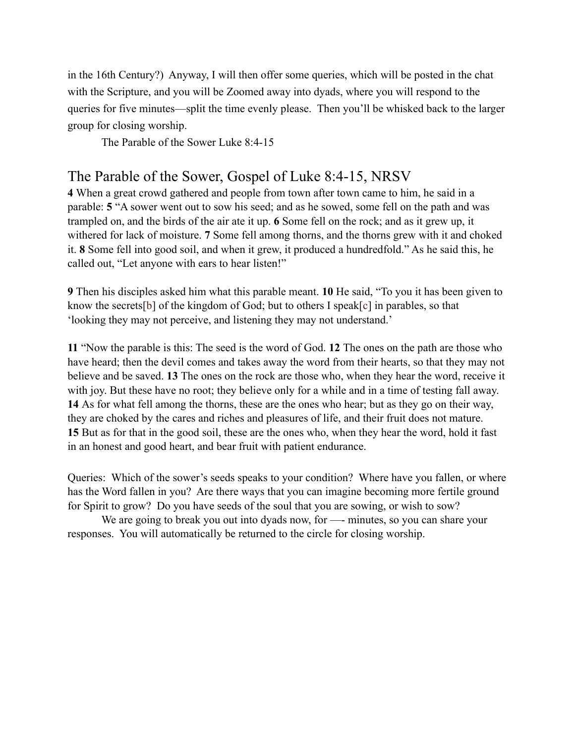in the 16th Century?) Anyway, I will then offer some queries, which will be posted in the chat with the Scripture, and you will be Zoomed away into dyads, where you will respond to the queries for five minutes—split the time evenly please. Then you'll be whisked back to the larger group for closing worship.

The Parable of the Sower Luke 8:4-15

## The Parable of the Sower, Gospel of Luke 8:4-15, NRSV

**4** When a great crowd gathered and people from town after town came to him, he said in a parable: **5** "A sower went out to sow his seed; and as he sowed, some fell on the path and was trampled on, and the birds of the air ate it up. **6** Some fell on the rock; and as it grew up, it withered for lack of moisture. **7** Some fell among thorns, and the thorns grew with it and choked it. **8** Some fell into good soil, and when it grew, it produced a hundredfold." As he said this, he called out, "Let anyone with ears to hear listen!"

**9** Then his disciples asked him what this parable meant. **10** He said, "To you it has been given to know the secrets[b] of the kingdom of God; but to others I speak[c] in parables, so that 'looking they may not perceive, and listening they may not understand.'

**11** "Now the parable is this: The seed is the word of God. **12** The ones on the path are those who have heard; then the devil comes and takes away the word from their hearts, so that they may not believe and be saved. **13** The ones on the rock are those who, when they hear the word, receive it with joy. But these have no root; they believe only for a while and in a time of testing fall away. **14** As for what fell among the thorns, these are the ones who hear; but as they go on their way, they are choked by the cares and riches and pleasures of life, and their fruit does not mature. **15** But as for that in the good soil, these are the ones who, when they hear the word, hold it fast in an honest and good heart, and bear fruit with patient endurance.

Queries: Which of the sower's seeds speaks to your condition? Where have you fallen, or where has the Word fallen in you? Are there ways that you can imagine becoming more fertile ground for Spirit to grow? Do you have seeds of the soul that you are sowing, or wish to sow?

We are going to break you out into dyads now, for —- minutes, so you can share your responses. You will automatically be returned to the circle for closing worship.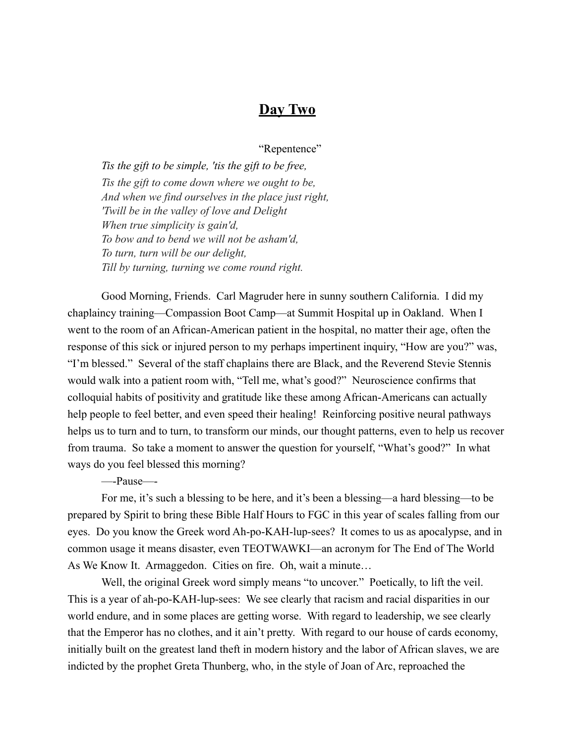### **Day Two**

"Repentence"

*Tis the gift to be simple, 'tis the gift to be free, Tis the gift to come down where we ought to be, And when we find ourselves in the place just right, 'Twill be in the valley of love and Delight When true simplicity is gain'd, To bow and to bend we will not be asham'd, To turn, turn will be our delight, Till by turning, turning we come round right.* 

 Good Morning, Friends. Carl Magruder here in sunny southern California. I did my chaplaincy training—Compassion Boot Camp—at Summit Hospital up in Oakland. When I went to the room of an African-American patient in the hospital, no matter their age, often the response of this sick or injured person to my perhaps impertinent inquiry, "How are you?" was, "I'm blessed." Several of the staff chaplains there are Black, and the Reverend Stevie Stennis would walk into a patient room with, "Tell me, what's good?" Neuroscience confirms that colloquial habits of positivity and gratitude like these among African-Americans can actually help people to feel better, and even speed their healing! Reinforcing positive neural pathways helps us to turn and to turn, to transform our minds, our thought patterns, even to help us recover from trauma. So take a moment to answer the question for yourself, "What's good?" In what ways do you feel blessed this morning?

—-Pause—-

 For me, it's such a blessing to be here, and it's been a blessing—a hard blessing—to be prepared by Spirit to bring these Bible Half Hours to FGC in this year of scales falling from our eyes. Do you know the Greek word Ah-po-KAH-lup-sees? It comes to us as apocalypse, and in common usage it means disaster, even TEOTWAWKI—an acronym for The End of The World As We Know It. Armaggedon. Cities on fire. Oh, wait a minute…

Well, the original Greek word simply means "to uncover." Poetically, to lift the veil. This is a year of ah-po-KAH-lup-sees: We see clearly that racism and racial disparities in our world endure, and in some places are getting worse. With regard to leadership, we see clearly that the Emperor has no clothes, and it ain't pretty. With regard to our house of cards economy, initially built on the greatest land theft in modern history and the labor of African slaves, we are indicted by the prophet Greta Thunberg, who, in the style of Joan of Arc, reproached the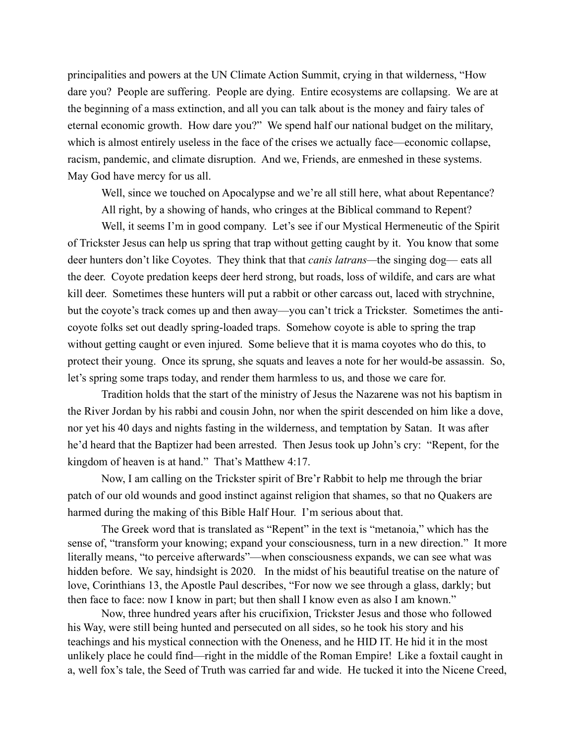principalities and powers at the UN Climate Action Summit, crying in that wilderness, "How dare you? People are suffering. People are dying. Entire ecosystems are collapsing. We are at the beginning of a mass extinction, and all you can talk about is the money and fairy tales of eternal economic growth. How dare you?" We spend half our national budget on the military, which is almost entirely useless in the face of the crises we actually face—economic collapse, racism, pandemic, and climate disruption. And we, Friends, are enmeshed in these systems. May God have mercy for us all.

Well, since we touched on Apocalypse and we're all still here, what about Repentance?

All right, by a showing of hands, who cringes at the Biblical command to Repent?

Well, it seems I'm in good company. Let's see if our Mystical Hermeneutic of the Spirit of Trickster Jesus can help us spring that trap without getting caught by it. You know that some deer hunters don't like Coyotes. They think that that *canis latrans—*the singing dog— eats all the deer. Coyote predation keeps deer herd strong, but roads, loss of wildife, and cars are what kill deer. Sometimes these hunters will put a rabbit or other carcass out, laced with strychnine, but the coyote's track comes up and then away—you can't trick a Trickster. Sometimes the anticoyote folks set out deadly spring-loaded traps. Somehow coyote is able to spring the trap without getting caught or even injured. Some believe that it is mama coyotes who do this, to protect their young. Once its sprung, she squats and leaves a note for her would-be assassin. So, let's spring some traps today, and render them harmless to us, and those we care for.

 Tradition holds that the start of the ministry of Jesus the Nazarene was not his baptism in the River Jordan by his rabbi and cousin John, nor when the spirit descended on him like a dove, nor yet his 40 days and nights fasting in the wilderness, and temptation by Satan. It was after he'd heard that the Baptizer had been arrested. Then Jesus took up John's cry: "Repent, for the kingdom of heaven is at hand." That's Matthew 4:17.

 Now, I am calling on the Trickster spirit of Bre'r Rabbit to help me through the briar patch of our old wounds and good instinct against religion that shames, so that no Quakers are harmed during the making of this Bible Half Hour. I'm serious about that.

 The Greek word that is translated as "Repent" in the text is "metanoia," which has the sense of, "transform your knowing; expand your consciousness, turn in a new direction." It more literally means, "to perceive afterwards"—when consciousness expands, we can see what was hidden before. We say, hindsight is 2020. In the midst of his beautiful treatise on the nature of love, Corinthians 13, the Apostle Paul describes, "For now we see through a glass, darkly; but then face to face: now I know in part; but then shall I know even as also I am known."

 Now, three hundred years after his crucifixion, Trickster Jesus and those who followed his Way, were still being hunted and persecuted on all sides, so he took his story and his teachings and his mystical connection with the Oneness, and he HID IT. He hid it in the most unlikely place he could find—right in the middle of the Roman Empire! Like a foxtail caught in a, well fox's tale, the Seed of Truth was carried far and wide. He tucked it into the Nicene Creed,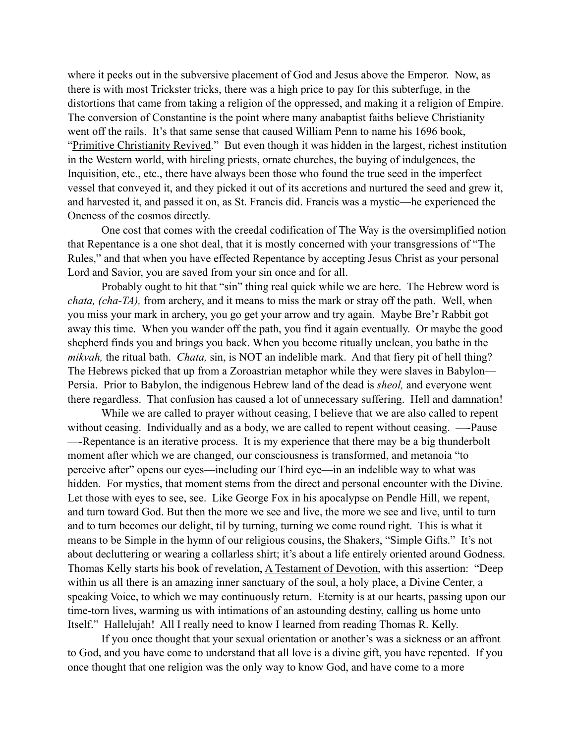where it peeks out in the subversive placement of God and Jesus above the Emperor. Now, as there is with most Trickster tricks, there was a high price to pay for this subterfuge, in the distortions that came from taking a religion of the oppressed, and making it a religion of Empire. The conversion of Constantine is the point where many anabaptist faiths believe Christianity went off the rails. It's that same sense that caused William Penn to name his 1696 book, "Primitive Christianity Revived." But even though it was hidden in the largest, richest institution in the Western world, with hireling priests, ornate churches, the buying of indulgences, the Inquisition, etc., etc., there have always been those who found the true seed in the imperfect vessel that conveyed it, and they picked it out of its accretions and nurtured the seed and grew it, and harvested it, and passed it on, as St. Francis did. Francis was a mystic—he experienced the Oneness of the cosmos directly.

 One cost that comes with the creedal codification of The Way is the oversimplified notion that Repentance is a one shot deal, that it is mostly concerned with your transgressions of "The Rules," and that when you have effected Repentance by accepting Jesus Christ as your personal Lord and Savior, you are saved from your sin once and for all.

 Probably ought to hit that "sin" thing real quick while we are here. The Hebrew word is *chata, (cha-TA),* from archery, and it means to miss the mark or stray off the path. Well, when you miss your mark in archery, you go get your arrow and try again. Maybe Bre'r Rabbit got away this time. When you wander off the path, you find it again eventually. Or maybe the good shepherd finds you and brings you back. When you become ritually unclean, you bathe in the *mikvah,* the ritual bath. *Chata,* sin, is NOT an indelible mark. And that fiery pit of hell thing? The Hebrews picked that up from a Zoroastrian metaphor while they were slaves in Babylon— Persia. Prior to Babylon, the indigenous Hebrew land of the dead is *sheol,* and everyone went there regardless. That confusion has caused a lot of unnecessary suffering. Hell and damnation!

 While we are called to prayer without ceasing, I believe that we are also called to repent without ceasing. Individually and as a body, we are called to repent without ceasing. —-Pause —-Repentance is an iterative process. It is my experience that there may be a big thunderbolt moment after which we are changed, our consciousness is transformed, and metanoia "to perceive after" opens our eyes—including our Third eye—in an indelible way to what was hidden. For mystics, that moment stems from the direct and personal encounter with the Divine. Let those with eyes to see, see. Like George Fox in his apocalypse on Pendle Hill, we repent, and turn toward God. But then the more we see and live, the more we see and live, until to turn and to turn becomes our delight, til by turning, turning we come round right. This is what it means to be Simple in the hymn of our religious cousins, the Shakers, "Simple Gifts." It's not about decluttering or wearing a collarless shirt; it's about a life entirely oriented around Godness. Thomas Kelly starts his book of revelation, A Testament of Devotion, with this assertion: "Deep within us all there is an amazing inner sanctuary of the soul, a holy place, a Divine Center, a speaking Voice, to which we may continuously return. Eternity is at our hearts, passing upon our time-torn lives, warming us with intimations of an astounding destiny, calling us home unto Itself." Hallelujah! All I really need to know I learned from reading Thomas R. Kelly.

 If you once thought that your sexual orientation or another's was a sickness or an affront to God, and you have come to understand that all love is a divine gift, you have repented. If you once thought that one religion was the only way to know God, and have come to a more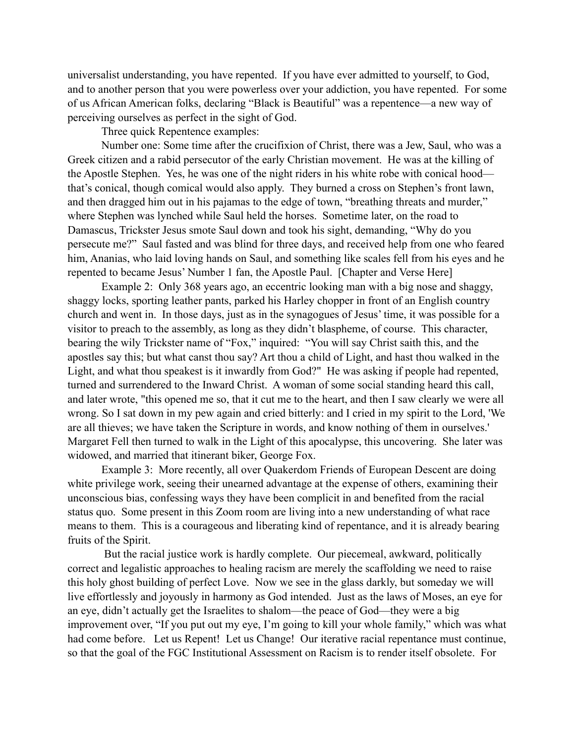universalist understanding, you have repented. If you have ever admitted to yourself, to God, and to another person that you were powerless over your addiction, you have repented. For some of us African American folks, declaring "Black is Beautiful" was a repentence—a new way of perceiving ourselves as perfect in the sight of God.

Three quick Repentence examples:

 Number one: Some time after the crucifixion of Christ, there was a Jew, Saul, who was a Greek citizen and a rabid persecutor of the early Christian movement. He was at the killing of the Apostle Stephen. Yes, he was one of the night riders in his white robe with conical hood that's conical, though comical would also apply. They burned a cross on Stephen's front lawn, and then dragged him out in his pajamas to the edge of town, "breathing threats and murder," where Stephen was lynched while Saul held the horses. Sometime later, on the road to Damascus, Trickster Jesus smote Saul down and took his sight, demanding, "Why do you persecute me?" Saul fasted and was blind for three days, and received help from one who feared him, Ananias, who laid loving hands on Saul, and something like scales fell from his eyes and he repented to became Jesus' Number 1 fan, the Apostle Paul. [Chapter and Verse Here]

 Example 2: Only 368 years ago, an eccentric looking man with a big nose and shaggy, shaggy locks, sporting leather pants, parked his Harley chopper in front of an English country church and went in. In those days, just as in the synagogues of Jesus' time, it was possible for a visitor to preach to the assembly, as long as they didn't blaspheme, of course. This character, bearing the wily Trickster name of "Fox," inquired: "You will say Christ saith this, and the apostles say this; but what canst thou say? Art thou a child of Light, and hast thou walked in the Light, and what thou speakest is it inwardly from God?" He was asking if people had repented, turned and surrendered to the Inward Christ. A woman of some social standing heard this call, and later wrote, "this opened me so, that it cut me to the heart, and then I saw clearly we were all wrong. So I sat down in my pew again and cried bitterly: and I cried in my spirit to the Lord, 'We are all thieves; we have taken the Scripture in words, and know nothing of them in ourselves.' Margaret Fell then turned to walk in the Light of this apocalypse, this uncovering. She later was widowed, and married that itinerant biker, George Fox.

 Example 3: More recently, all over Quakerdom Friends of European Descent are doing white privilege work, seeing their unearned advantage at the expense of others, examining their unconscious bias, confessing ways they have been complicit in and benefited from the racial status quo. Some present in this Zoom room are living into a new understanding of what race means to them. This is a courageous and liberating kind of repentance, and it is already bearing fruits of the Spirit.

 But the racial justice work is hardly complete. Our piecemeal, awkward, politically correct and legalistic approaches to healing racism are merely the scaffolding we need to raise this holy ghost building of perfect Love. Now we see in the glass darkly, but someday we will live effortlessly and joyously in harmony as God intended. Just as the laws of Moses, an eye for an eye, didn't actually get the Israelites to shalom—the peace of God—they were a big improvement over, "If you put out my eye, I'm going to kill your whole family," which was what had come before. Let us Repent! Let us Change! Our iterative racial repentance must continue, so that the goal of the FGC Institutional Assessment on Racism is to render itself obsolete. For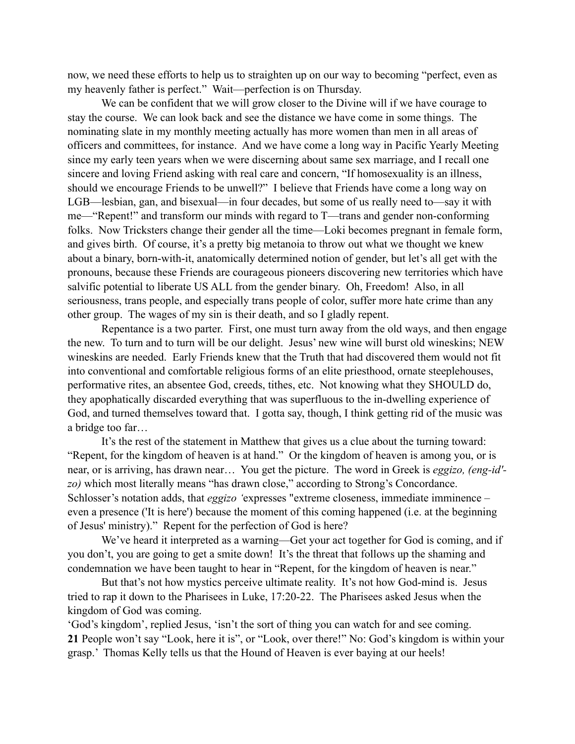now, we need these efforts to help us to straighten up on our way to becoming "perfect, even as my heavenly father is perfect." Wait—perfection is on Thursday.

 We can be confident that we will grow closer to the Divine will if we have courage to stay the course. We can look back and see the distance we have come in some things. The nominating slate in my monthly meeting actually has more women than men in all areas of officers and committees, for instance. And we have come a long way in Pacific Yearly Meeting since my early teen years when we were discerning about same sex marriage, and I recall one sincere and loving Friend asking with real care and concern, "If homosexuality is an illness, should we encourage Friends to be unwell?" I believe that Friends have come a long way on LGB—lesbian, gan, and bisexual—in four decades, but some of us really need to—say it with me—"Repent!" and transform our minds with regard to T—trans and gender non-conforming folks. Now Tricksters change their gender all the time—Loki becomes pregnant in female form, and gives birth. Of course, it's a pretty big metanoia to throw out what we thought we knew about a binary, born-with-it, anatomically determined notion of gender, but let's all get with the pronouns, because these Friends are courageous pioneers discovering new territories which have salvific potential to liberate US ALL from the gender binary. Oh, Freedom! Also, in all seriousness, trans people, and especially trans people of color, suffer more hate crime than any other group. The wages of my sin is their death, and so I gladly repent.

 Repentance is a two parter. First, one must turn away from the old ways, and then engage the new. To turn and to turn will be our delight. Jesus' new wine will burst old wineskins; NEW wineskins are needed. Early Friends knew that the Truth that had discovered them would not fit into conventional and comfortable religious forms of an elite priesthood, ornate steeplehouses, performative rites, an absentee God, creeds, tithes, etc. Not knowing what they SHOULD do, they apophatically discarded everything that was superfluous to the in-dwelling experience of God, and turned themselves toward that. I gotta say, though, I think getting rid of the music was a bridge too far…

 It's the rest of the statement in Matthew that gives us a clue about the turning toward: "Repent, for the kingdom of heaven is at hand." Or the kingdom of heaven is among you, or is near, or is arriving, has drawn near… You get the picture. The word in Greek is *eggizo, (eng-id' zo)* which most literally means "has drawn close," according to Strong's Concordance. Schlosser's notation adds, that *eggizo '*expresses "extreme closeness, immediate imminence – even a presence ('It is here') because the moment of this coming happened (i.e. at the beginning of Jesus' ministry)." Repent for the perfection of God is here?

 We've heard it interpreted as a warning—Get your act together for God is coming, and if you don't, you are going to get a smite down! It's the threat that follows up the shaming and condemnation we have been taught to hear in "Repent, for the kingdom of heaven is near."

 But that's not how mystics perceive ultimate reality. It's not how God-mind is. Jesus tried to rap it down to the Pharisees in Luke, 17:20-22. The Pharisees asked Jesus when the kingdom of God was coming.

'God's kingdom', replied Jesus, 'isn't the sort of thing you can watch for and see coming. **21** People won't say "Look, here it is", or "Look, over there!" No: God's kingdom is within your grasp.' Thomas Kelly tells us that the Hound of Heaven is ever baying at our heels!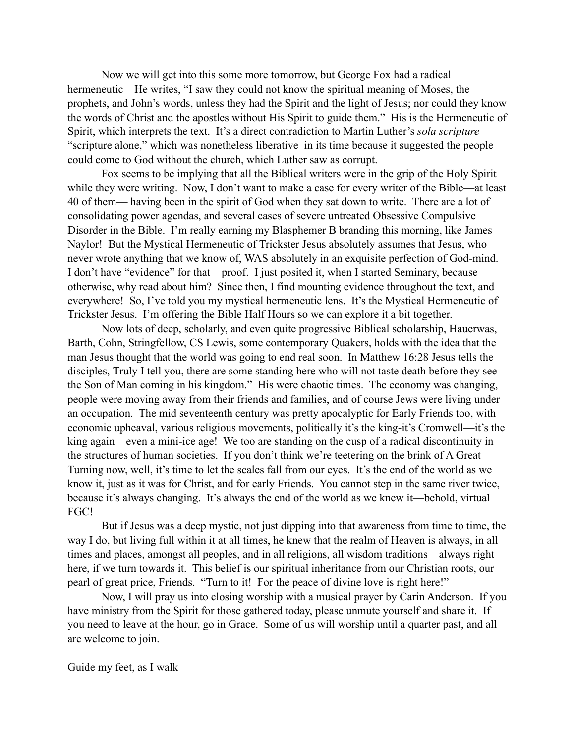Now we will get into this some more tomorrow, but George Fox had a radical hermeneutic—He writes, "I saw they could not know the spiritual meaning of Moses, the prophets, and John's words, unless they had the Spirit and the light of Jesus; nor could they know the words of Christ and the apostles without His Spirit to guide them." His is the Hermeneutic of Spirit, which interprets the text. It's a direct contradiction to Martin Luther's *sola scripture*— "scripture alone," which was nonetheless liberative in its time because it suggested the people could come to God without the church, which Luther saw as corrupt.

 Fox seems to be implying that all the Biblical writers were in the grip of the Holy Spirit while they were writing. Now, I don't want to make a case for every writer of the Bible—at least 40 of them— having been in the spirit of God when they sat down to write. There are a lot of consolidating power agendas, and several cases of severe untreated Obsessive Compulsive Disorder in the Bible. I'm really earning my Blasphemer B branding this morning, like James Naylor! But the Mystical Hermeneutic of Trickster Jesus absolutely assumes that Jesus, who never wrote anything that we know of, WAS absolutely in an exquisite perfection of God-mind. I don't have "evidence" for that—proof. I just posited it, when I started Seminary, because otherwise, why read about him? Since then, I find mounting evidence throughout the text, and everywhere! So, I've told you my mystical hermeneutic lens. It's the Mystical Hermeneutic of Trickster Jesus. I'm offering the Bible Half Hours so we can explore it a bit together.

 Now lots of deep, scholarly, and even quite progressive Biblical scholarship, Hauerwas, Barth, Cohn, Stringfellow, CS Lewis, some contemporary Quakers, holds with the idea that the man Jesus thought that the world was going to end real soon. In Matthew 16:28 Jesus tells the disciples, Truly I tell you, there are some standing here who will not taste death before they see the Son of Man coming in his kingdom." His were chaotic times. The economy was changing, people were moving away from their friends and families, and of course Jews were living under an occupation. The mid seventeenth century was pretty apocalyptic for Early Friends too, with economic upheaval, various religious movements, politically it's the king-it's Cromwell—it's the king again—even a mini-ice age! We too are standing on the cusp of a radical discontinuity in the structures of human societies. If you don't think we're teetering on the brink of A Great Turning now, well, it's time to let the scales fall from our eyes. It's the end of the world as we know it, just as it was for Christ, and for early Friends. You cannot step in the same river twice, because it's always changing. It's always the end of the world as we knew it—behold, virtual FGC!

 But if Jesus was a deep mystic, not just dipping into that awareness from time to time, the way I do, but living full within it at all times, he knew that the realm of Heaven is always, in all times and places, amongst all peoples, and in all religions, all wisdom traditions—always right here, if we turn towards it. This belief is our spiritual inheritance from our Christian roots, our pearl of great price, Friends. "Turn to it! For the peace of divine love is right here!"

 Now, I will pray us into closing worship with a musical prayer by Carin Anderson. If you have ministry from the Spirit for those gathered today, please unmute yourself and share it. If you need to leave at the hour, go in Grace. Some of us will worship until a quarter past, and all are welcome to join.

Guide my feet, as I walk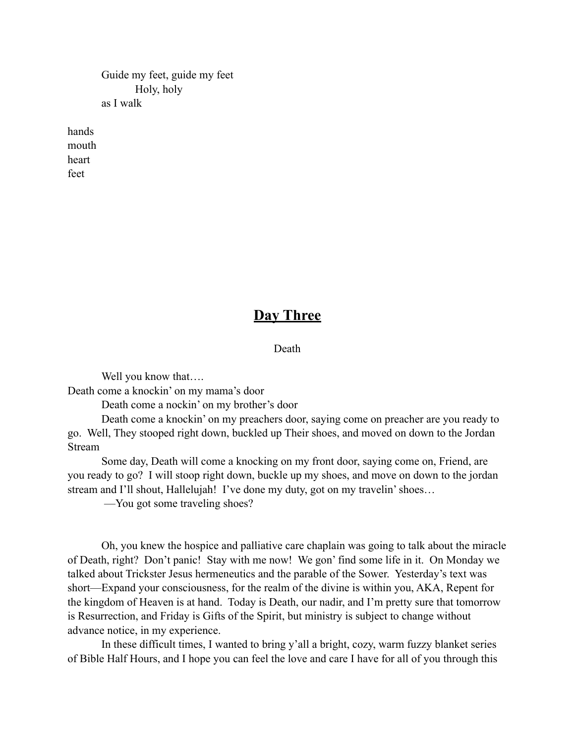Guide my feet, guide my feet Holy, holy as I walk

hands mouth heart feet

## **Day Three**

#### Death

Well you know that....

Death come a knockin' on my mama's door

Death come a nockin' on my brother's door

 Death come a knockin' on my preachers door, saying come on preacher are you ready to go. Well, They stooped right down, buckled up Their shoes, and moved on down to the Jordan Stream

 Some day, Death will come a knocking on my front door, saying come on, Friend, are you ready to go? I will stoop right down, buckle up my shoes, and move on down to the jordan stream and I'll shout, Hallelujah! I've done my duty, got on my travelin' shoes...

—You got some traveling shoes?

 Oh, you knew the hospice and palliative care chaplain was going to talk about the miracle of Death, right? Don't panic! Stay with me now! We gon' find some life in it. On Monday we talked about Trickster Jesus hermeneutics and the parable of the Sower. Yesterday's text was short—Expand your consciousness, for the realm of the divine is within you, AKA, Repent for the kingdom of Heaven is at hand. Today is Death, our nadir, and I'm pretty sure that tomorrow is Resurrection, and Friday is Gifts of the Spirit, but ministry is subject to change without advance notice, in my experience.

 In these difficult times, I wanted to bring y'all a bright, cozy, warm fuzzy blanket series of Bible Half Hours, and I hope you can feel the love and care I have for all of you through this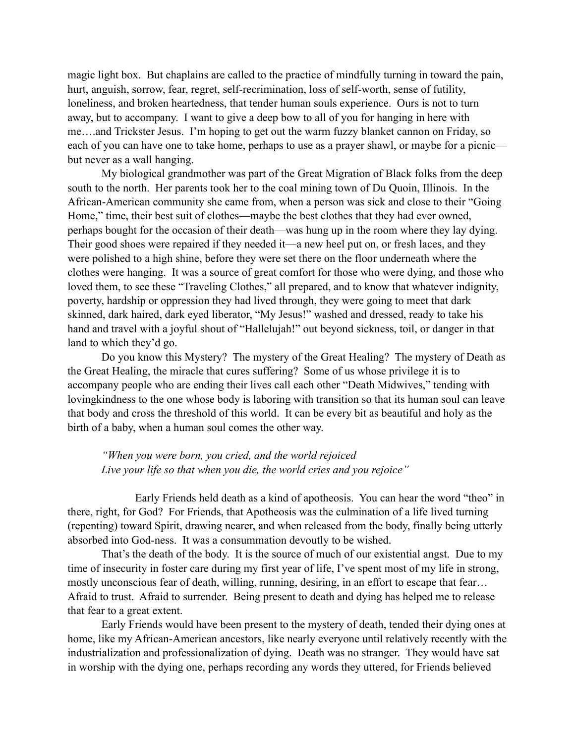magic light box. But chaplains are called to the practice of mindfully turning in toward the pain, hurt, anguish, sorrow, fear, regret, self-recrimination, loss of self-worth, sense of futility, loneliness, and broken heartedness, that tender human souls experience. Ours is not to turn away, but to accompany. I want to give a deep bow to all of you for hanging in here with me….and Trickster Jesus. I'm hoping to get out the warm fuzzy blanket cannon on Friday, so each of you can have one to take home, perhaps to use as a prayer shawl, or maybe for a picnic but never as a wall hanging.

 My biological grandmother was part of the Great Migration of Black folks from the deep south to the north. Her parents took her to the coal mining town of Du Quoin, Illinois. In the African-American community she came from, when a person was sick and close to their "Going Home," time, their best suit of clothes—maybe the best clothes that they had ever owned, perhaps bought for the occasion of their death—was hung up in the room where they lay dying. Their good shoes were repaired if they needed it—a new heel put on, or fresh laces, and they were polished to a high shine, before they were set there on the floor underneath where the clothes were hanging. It was a source of great comfort for those who were dying, and those who loved them, to see these "Traveling Clothes," all prepared, and to know that whatever indignity, poverty, hardship or oppression they had lived through, they were going to meet that dark skinned, dark haired, dark eyed liberator, "My Jesus!" washed and dressed, ready to take his hand and travel with a joyful shout of "Hallelujah!" out beyond sickness, toil, or danger in that land to which they'd go.

 Do you know this Mystery? The mystery of the Great Healing? The mystery of Death as the Great Healing, the miracle that cures suffering? Some of us whose privilege it is to accompany people who are ending their lives call each other "Death Midwives," tending with lovingkindness to the one whose body is laboring with transition so that its human soul can leave that body and cross the threshold of this world. It can be every bit as beautiful and holy as the birth of a baby, when a human soul comes the other way.

*"When you were born, you cried, and the world rejoiced Live your life so that when you die, the world cries and you rejoice"* 

 Early Friends held death as a kind of apotheosis. You can hear the word "theo" in there, right, for God? For Friends, that Apotheosis was the culmination of a life lived turning (repenting) toward Spirit, drawing nearer, and when released from the body, finally being utterly absorbed into God-ness. It was a consummation devoutly to be wished.

 That's the death of the body. It is the source of much of our existential angst. Due to my time of insecurity in foster care during my first year of life, I've spent most of my life in strong, mostly unconscious fear of death, willing, running, desiring, in an effort to escape that fear… Afraid to trust. Afraid to surrender. Being present to death and dying has helped me to release that fear to a great extent.

 Early Friends would have been present to the mystery of death, tended their dying ones at home, like my African-American ancestors, like nearly everyone until relatively recently with the industrialization and professionalization of dying. Death was no stranger. They would have sat in worship with the dying one, perhaps recording any words they uttered, for Friends believed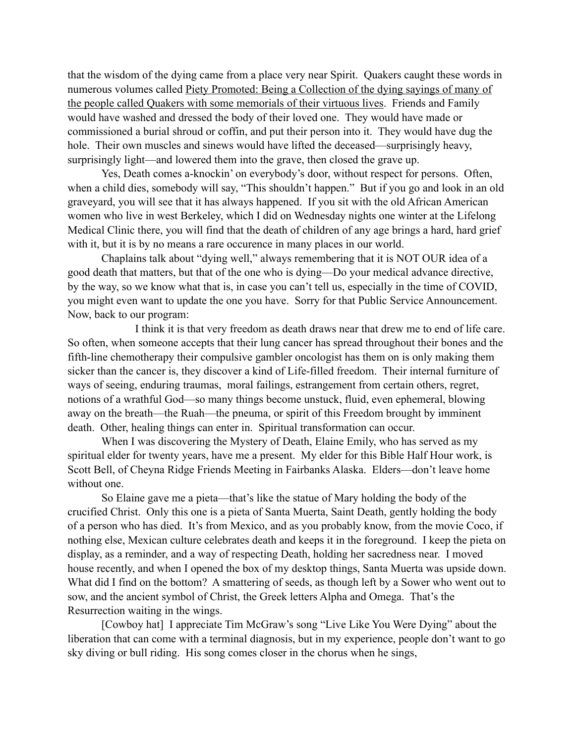that the wisdom of the dying came from a place very near Spirit. Quakers caught these words in numerous volumes called Piety Promoted: Being a Collection of the dying sayings of many of the people called Quakers with some memorials of their virtuous lives. Friends and Family would have washed and dressed the body of their loved one. They would have made or commissioned a burial shroud or coffin, and put their person into it. They would have dug the hole. Their own muscles and sinews would have lifted the deceased—surprisingly heavy, surprisingly light—and lowered them into the grave, then closed the grave up.

 Yes, Death comes a-knockin' on everybody's door, without respect for persons. Often, when a child dies, somebody will say, "This shouldn't happen." But if you go and look in an old graveyard, you will see that it has always happened. If you sit with the old African American women who live in west Berkeley, which I did on Wednesday nights one winter at the Lifelong Medical Clinic there, you will find that the death of children of any age brings a hard, hard grief with it, but it is by no means a rare occurence in many places in our world.

 Chaplains talk about "dying well," always remembering that it is NOT OUR idea of a good death that matters, but that of the one who is dying—Do your medical advance directive, by the way, so we know what that is, in case you can't tell us, especially in the time of COVID, you might even want to update the one you have. Sorry for that Public Service Announcement. Now, back to our program:

 I think it is that very freedom as death draws near that drew me to end of life care. So often, when someone accepts that their lung cancer has spread throughout their bones and the fifth-line chemotherapy their compulsive gambler oncologist has them on is only making them sicker than the cancer is, they discover a kind of Life-filled freedom. Their internal furniture of ways of seeing, enduring traumas, moral failings, estrangement from certain others, regret, notions of a wrathful God—so many things become unstuck, fluid, even ephemeral, blowing away on the breath—the Ruah—the pneuma, or spirit of this Freedom brought by imminent death. Other, healing things can enter in. Spiritual transformation can occur.

 When I was discovering the Mystery of Death, Elaine Emily, who has served as my spiritual elder for twenty years, have me a present. My elder for this Bible Half Hour work, is Scott Bell, of Cheyna Ridge Friends Meeting in Fairbanks Alaska. Elders—don't leave home without one.

 So Elaine gave me a pieta—that's like the statue of Mary holding the body of the crucified Christ. Only this one is a pieta of Santa Muerta, Saint Death, gently holding the body of a person who has died. It's from Mexico, and as you probably know, from the movie Coco, if nothing else, Mexican culture celebrates death and keeps it in the foreground. I keep the pieta on display, as a reminder, and a way of respecting Death, holding her sacredness near. I moved house recently, and when I opened the box of my desktop things, Santa Muerta was upside down. What did I find on the bottom? A smattering of seeds, as though left by a Sower who went out to sow, and the ancient symbol of Christ, the Greek letters Alpha and Omega. That's the Resurrection waiting in the wings.

 [Cowboy hat] I appreciate Tim McGraw's song "Live Like You Were Dying" about the liberation that can come with a terminal diagnosis, but in my experience, people don't want to go sky diving or bull riding. His song comes closer in the chorus when he sings,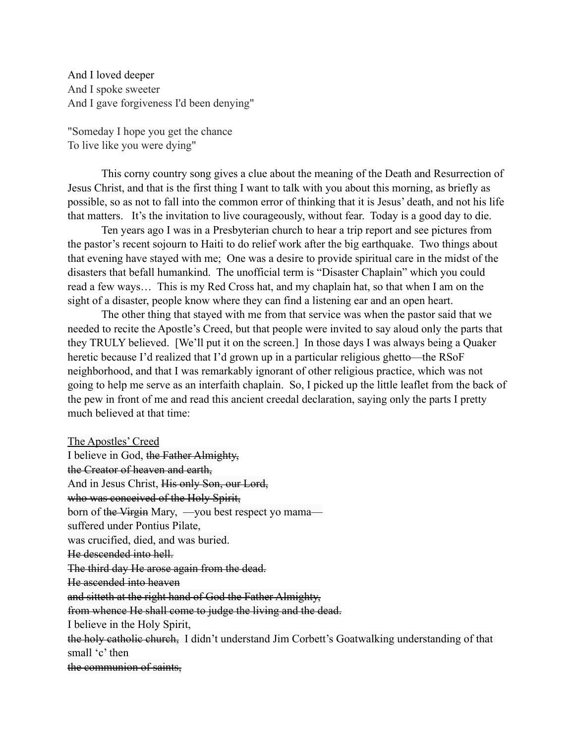And I loved deeper And I spoke sweeter And I gave forgiveness I'd been denying"

"Someday I hope you get the chance To live like you were dying"

 This corny country song gives a clue about the meaning of the Death and Resurrection of Jesus Christ, and that is the first thing I want to talk with you about this morning, as briefly as possible, so as not to fall into the common error of thinking that it is Jesus' death, and not his life that matters. It's the invitation to live courageously, without fear. Today is a good day to die.

 Ten years ago I was in a Presbyterian church to hear a trip report and see pictures from the pastor's recent sojourn to Haiti to do relief work after the big earthquake. Two things about that evening have stayed with me; One was a desire to provide spiritual care in the midst of the disasters that befall humankind. The unofficial term is "Disaster Chaplain" which you could read a few ways… This is my Red Cross hat, and my chaplain hat, so that when I am on the sight of a disaster, people know where they can find a listening ear and an open heart.

 The other thing that stayed with me from that service was when the pastor said that we needed to recite the Apostle's Creed, but that people were invited to say aloud only the parts that they TRULY believed. [We'll put it on the screen.] In those days I was always being a Quaker heretic because I'd realized that I'd grown up in a particular religious ghetto—the RSoF neighborhood, and that I was remarkably ignorant of other religious practice, which was not going to help me serve as an interfaith chaplain. So, I picked up the little leaflet from the back of the pew in front of me and read this ancient creedal declaration, saying only the parts I pretty much believed at that time:

The Apostles' Creed I believe in God, the Father Almighty, the Creator of heaven and earth, And in Jesus Christ, His only Son, our Lord, who was conceived of the Holy Spirit, born of the Virgin Mary, —you best respect yo mama suffered under Pontius Pilate, was crucified, died, and was buried. He descended into hell. The third day He arose again from the dead. He ascended into heaven and sitteth at the right hand of God the Father Almighty, from whence He shall come to judge the living and the dead. I believe in the Holy Spirit, the holy catholic church, I didn't understand Jim Corbett's Goatwalking understanding of that small 'c' then the communion of saints,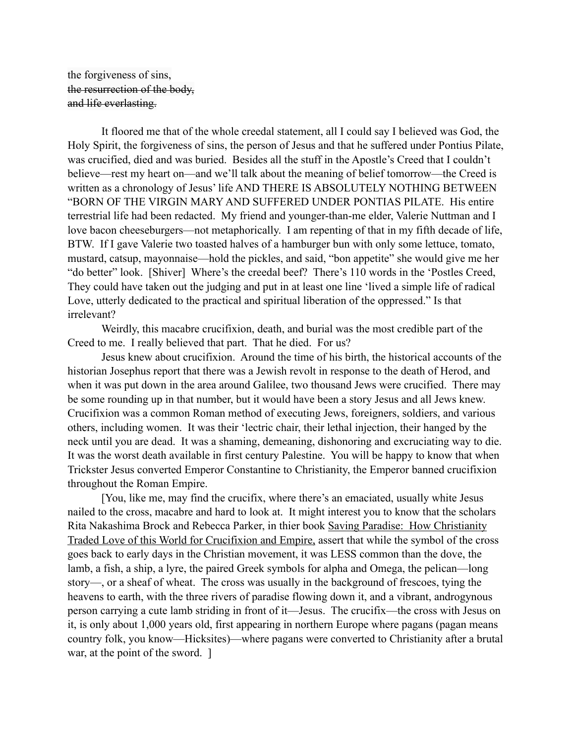### the forgiveness of sins, the resurrection of the body, and life everlasting.

 It floored me that of the whole creedal statement, all I could say I believed was God, the Holy Spirit, the forgiveness of sins, the person of Jesus and that he suffered under Pontius Pilate, was crucified, died and was buried. Besides all the stuff in the Apostle's Creed that I couldn't believe—rest my heart on—and we'll talk about the meaning of belief tomorrow—the Creed is written as a chronology of Jesus' life AND THERE IS ABSOLUTELY NOTHING BETWEEN "BORN OF THE VIRGIN MARY AND SUFFERED UNDER PONTIAS PILATE. His entire terrestrial life had been redacted. My friend and younger-than-me elder, Valerie Nuttman and I love bacon cheeseburgers—not metaphorically. I am repenting of that in my fifth decade of life, BTW. If I gave Valerie two toasted halves of a hamburger bun with only some lettuce, tomato, mustard, catsup, mayonnaise—hold the pickles, and said, "bon appetite" she would give me her "do better" look. [Shiver] Where's the creedal beef? There's 110 words in the 'Postles Creed, They could have taken out the judging and put in at least one line 'lived a simple life of radical Love, utterly dedicated to the practical and spiritual liberation of the oppressed." Is that irrelevant?

 Weirdly, this macabre crucifixion, death, and burial was the most credible part of the Creed to me. I really believed that part. That he died. For us?

 Jesus knew about crucifixion. Around the time of his birth, the historical accounts of the historian Josephus report that there was a Jewish revolt in response to the death of Herod, and when it was put down in the area around Galilee, two thousand Jews were crucified. There may be some rounding up in that number, but it would have been a story Jesus and all Jews knew. Crucifixion was a common Roman method of executing Jews, foreigners, soldiers, and various others, including women. It was their 'lectric chair, their lethal injection, their hanged by the neck until you are dead. It was a shaming, demeaning, dishonoring and excruciating way to die. It was the worst death available in first century Palestine. You will be happy to know that when Trickster Jesus converted Emperor Constantine to Christianity, the Emperor banned crucifixion throughout the Roman Empire.

 [You, like me, may find the crucifix, where there's an emaciated, usually white Jesus nailed to the cross, macabre and hard to look at. It might interest you to know that the scholars Rita Nakashima Brock and Rebecca Parker, in thier book Saving Paradise: How Christianity Traded Love of this World for Crucifixion and Empire, assert that while the symbol of the cross goes back to early days in the Christian movement, it was LESS common than the dove, the lamb, a fish, a ship, a lyre, the paired Greek symbols for alpha and Omega, the pelican—long story—, or a sheaf of wheat. The cross was usually in the background of frescoes, tying the heavens to earth, with the three rivers of paradise flowing down it, and a vibrant, androgynous person carrying a cute lamb striding in front of it—Jesus. The crucifix—the cross with Jesus on it, is only about 1,000 years old, first appearing in northern Europe where pagans (pagan means country folk, you know—Hicksites)—where pagans were converted to Christianity after a brutal war, at the point of the sword.  $\overline{\phantom{a}}$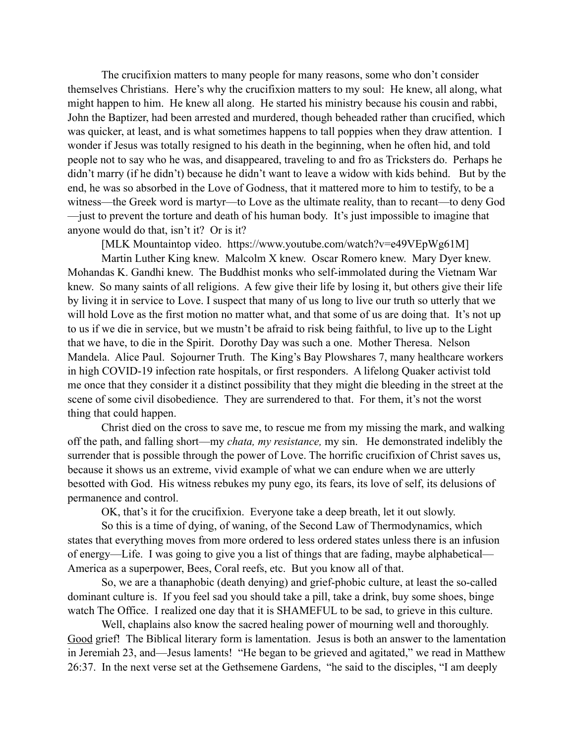The crucifixion matters to many people for many reasons, some who don't consider themselves Christians. Here's why the crucifixion matters to my soul: He knew, all along, what might happen to him. He knew all along. He started his ministry because his cousin and rabbi, John the Baptizer, had been arrested and murdered, though beheaded rather than crucified, which was quicker, at least, and is what sometimes happens to tall poppies when they draw attention. I wonder if Jesus was totally resigned to his death in the beginning, when he often hid, and told people not to say who he was, and disappeared, traveling to and fro as Tricksters do. Perhaps he didn't marry (if he didn't) because he didn't want to leave a widow with kids behind. But by the end, he was so absorbed in the Love of Godness, that it mattered more to him to testify, to be a witness—the Greek word is martyr—to Love as the ultimate reality, than to recant—to deny God —just to prevent the torture and death of his human body. It's just impossible to imagine that anyone would do that, isn't it? Or is it?

[MLK Mountaintop video. https://www.youtube.com/watch?v=e49VEpWg61M]

 Martin Luther King knew. Malcolm X knew. Oscar Romero knew. Mary Dyer knew. Mohandas K. Gandhi knew. The Buddhist monks who self-immolated during the Vietnam War knew. So many saints of all religions. A few give their life by losing it, but others give their life by living it in service to Love. I suspect that many of us long to live our truth so utterly that we will hold Love as the first motion no matter what, and that some of us are doing that. It's not up to us if we die in service, but we mustn't be afraid to risk being faithful, to live up to the Light that we have, to die in the Spirit. Dorothy Day was such a one. Mother Theresa. Nelson Mandela. Alice Paul. Sojourner Truth. The King's Bay Plowshares 7, many healthcare workers in high COVID-19 infection rate hospitals, or first responders. A lifelong Quaker activist told me once that they consider it a distinct possibility that they might die bleeding in the street at the scene of some civil disobedience. They are surrendered to that. For them, it's not the worst thing that could happen.

 Christ died on the cross to save me, to rescue me from my missing the mark, and walking off the path, and falling short—my *chata, my resistance,* my sin. He demonstrated indelibly the surrender that is possible through the power of Love. The horrific crucifixion of Christ saves us, because it shows us an extreme, vivid example of what we can endure when we are utterly besotted with God. His witness rebukes my puny ego, its fears, its love of self, its delusions of permanence and control.

OK, that's it for the crucifixion. Everyone take a deep breath, let it out slowly.

 So this is a time of dying, of waning, of the Second Law of Thermodynamics, which states that everything moves from more ordered to less ordered states unless there is an infusion of energy—Life. I was going to give you a list of things that are fading, maybe alphabetical— America as a superpower, Bees, Coral reefs, etc. But you know all of that.

 So, we are a thanaphobic (death denying) and grief-phobic culture, at least the so-called dominant culture is. If you feel sad you should take a pill, take a drink, buy some shoes, binge watch The Office. I realized one day that it is SHAMEFUL to be sad, to grieve in this culture.

 Well, chaplains also know the sacred healing power of mourning well and thoroughly. Good grief! The Biblical literary form is lamentation. Jesus is both an answer to the lamentation in Jeremiah 23, and—Jesus laments! "He began to be grieved and agitated," we read in Matthew 26:37. In the next verse set at the Gethsemene Gardens, "he said to the disciples, "I am deeply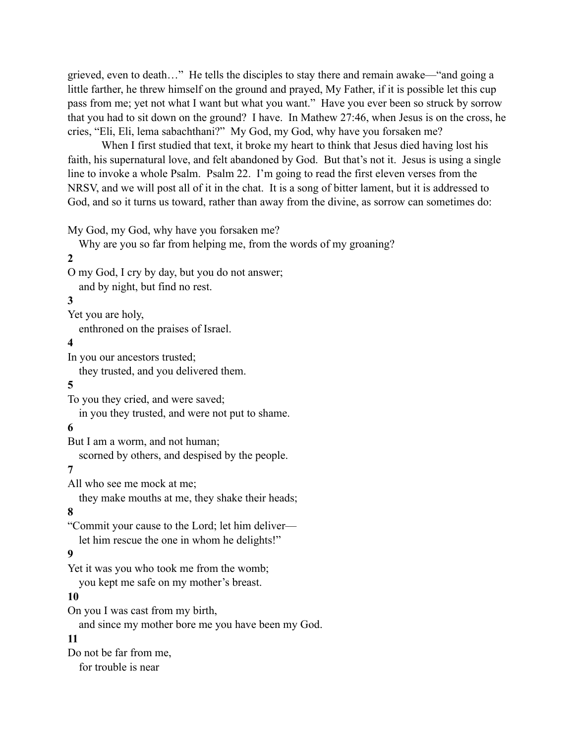grieved, even to death…" He tells the disciples to stay there and remain awake—"and going a little farther, he threw himself on the ground and prayed, My Father, if it is possible let this cup pass from me; yet not what I want but what you want." Have you ever been so struck by sorrow that you had to sit down on the ground? I have. In Mathew 27:46, when Jesus is on the cross, he cries, "Eli, Eli, lema sabachthani?" My God, my God, why have you forsaken me?

 When I first studied that text, it broke my heart to think that Jesus died having lost his faith, his supernatural love, and felt abandoned by God. But that's not it. Jesus is using a single line to invoke a whole Psalm. Psalm 22. I'm going to read the first eleven verses from the NRSV, and we will post all of it in the chat. It is a song of bitter lament, but it is addressed to God, and so it turns us toward, rather than away from the divine, as sorrow can sometimes do:

My God, my God, why have you forsaken me?

Why are you so far from helping me, from the words of my groaning?

```
2 
O my God, I cry by day, but you do not answer; 
   and by night, but find no rest. 
3 
Yet you are holy, 
   enthroned on the praises of Israel. 
4 
In you our ancestors trusted; 
   they trusted, and you delivered them. 
5 
To you they cried, and were saved; 
   in you they trusted, and were not put to shame. 
6 
But I am a worm, and not human; 
   scorned by others, and despised by the people. 
7 
All who see me mock at me; 
   they make mouths at me, they shake their heads; 
8 
"Commit your cause to the Lord; let him deliver— 
   let him rescue the one in whom he delights!" 
9 
Yet it was you who took me from the womb; 
   you kept me safe on my mother's breast. 
10 
On you I was cast from my birth, 
   and since my mother bore me you have been my God. 
11 
Do not be far from me,
```
for trouble is near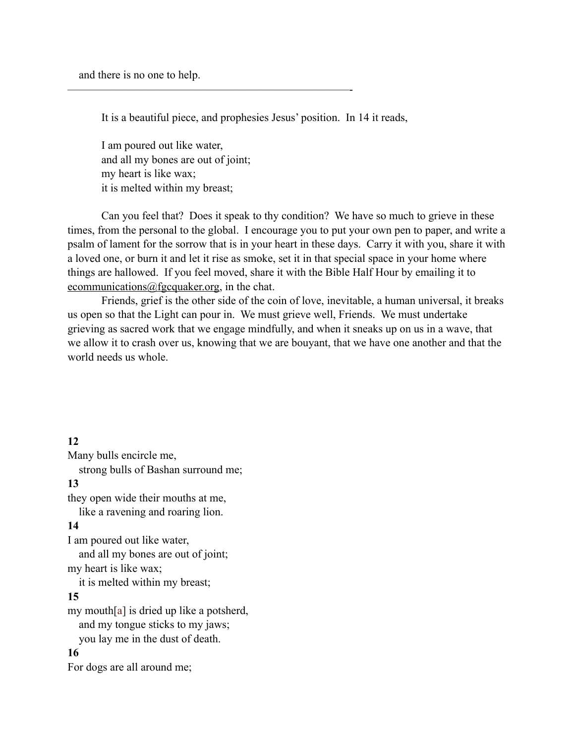and there is no one to help.

It is a beautiful piece, and prophesies Jesus' position. In 14 it reads,

—————————————————————————-

 I am poured out like water, and all my bones are out of joint; my heart is like wax; it is melted within my breast;

 Can you feel that? Does it speak to thy condition? We have so much to grieve in these times, from the personal to the global. I encourage you to put your own pen to paper, and write a psalm of lament for the sorrow that is in your heart in these days. Carry it with you, share it with a loved one, or burn it and let it rise as smoke, set it in that special space in your home where things are hallowed. If you feel moved, share it with the Bible Half Hour by emailing it to [ecommunications@fgcquaker.org,](mailto:ecommunications@fgcquaker.org) in the chat.

 Friends, grief is the other side of the coin of love, inevitable, a human universal, it breaks us open so that the Light can pour in. We must grieve well, Friends. We must undertake grieving as sacred work that we engage mindfully, and when it sneaks up on us in a wave, that we allow it to crash over us, knowing that we are bouyant, that we have one another and that the world needs us whole.

#### **12**

Many bulls encircle me,

strong bulls of Bashan surround me;

#### **13**

they open wide their mouths at me, like a ravening and roaring lion.

### **14**

I am poured out like water,

and all my bones are out of joint;

my heart is like wax;

it is melted within my breast;

### **15**

my mouth[a] is dried up like a potsherd,

and my tongue sticks to my jaws;

you lay me in the dust of death.

### **16**

For dogs are all around me;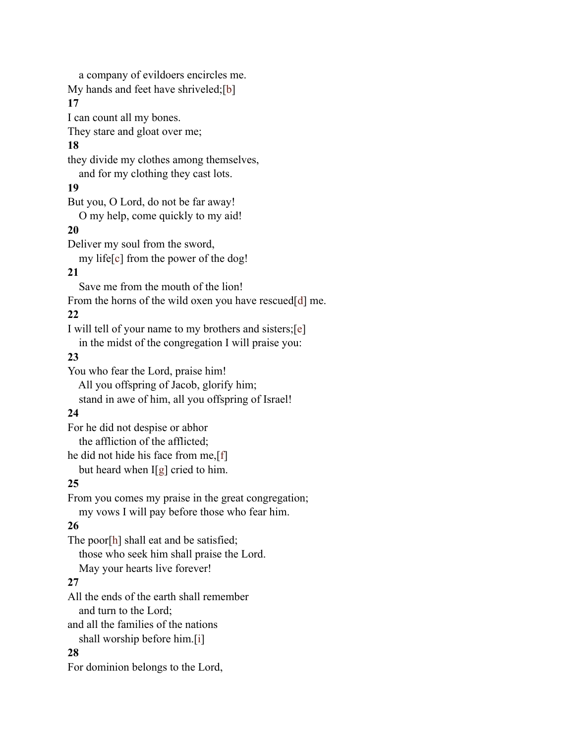a company of evildoers encircles me.

My hands and feet have shriveled;[b]

### **17**

I can count all my bones.

They stare and gloat over me;

## **18**

they divide my clothes among themselves, and for my clothing they cast lots.

# **19**

But you, O Lord, do not be far away!

O my help, come quickly to my aid!

# **20**

Deliver my soul from the sword,

my life[c] from the power of the dog!

## **21**

Save me from the mouth of the lion!

From the horns of the wild oxen you have rescued[d] me.

# **22**

I will tell of your name to my brothers and sisters;[e]

in the midst of the congregation I will praise you:

## **23**

You who fear the Lord, praise him!

All you offspring of Jacob, glorify him;

stand in awe of him, all you offspring of Israel!

# **24**

For he did not despise or abhor

the affliction of the afflicted;

he did not hide his face from me,[f]

but heard when I[g] cried to him.

## **25**

From you comes my praise in the great congregation;

my vows I will pay before those who fear him.

# **26**

The poor[h] shall eat and be satisfied;

those who seek him shall praise the Lord.

May your hearts live forever!

### **27**

All the ends of the earth shall remember

and turn to the Lord;

and all the families of the nations

shall worship before him.[i]

### **28**

For dominion belongs to the Lord,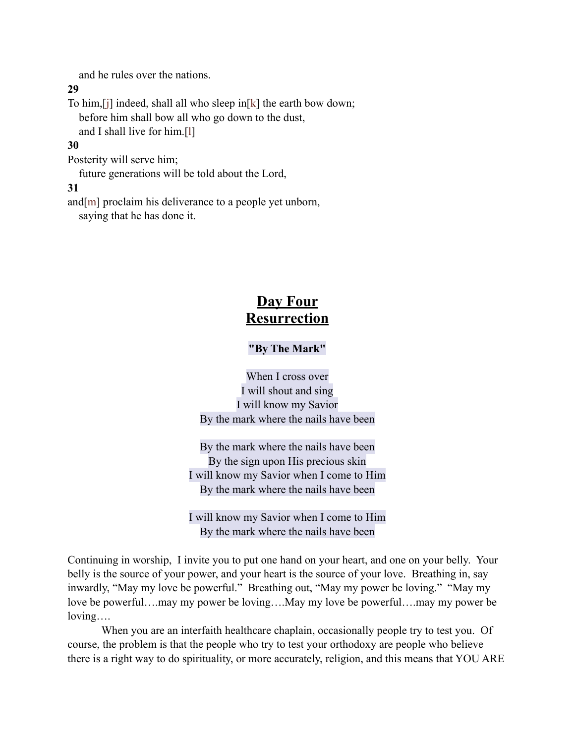and he rules over the nations.

### **29**

To him,[j] indeed, shall all who sleep in[k] the earth bow down; before him shall bow all who go down to the dust, and I shall live for him.[l]

### **30**

Posterity will serve him;

future generations will be told about the Lord,

### **31**

and[m] proclaim his deliverance to a people yet unborn, saying that he has done it.

# **Day Four Resurrection**

### **"By The Mark"**

When I cross over I will shout and sing I will know my Savior By the mark where the nails have been

By the mark where the nails have been By the sign upon His precious skin I will know my Savior when I come to Him By the mark where the nails have been

I will know my Savior when I come to Him By the mark where the nails have been

Continuing in worship, I invite you to put one hand on your heart, and one on your belly. Your belly is the source of your power, and your heart is the source of your love. Breathing in, say inwardly, "May my love be powerful." Breathing out, "May my power be loving." "May my love be powerful….may my power be loving….May my love be powerful….may my power be loving….

When you are an interfaith healthcare chaplain, occasionally people try to test you. Of course, the problem is that the people who try to test your orthodoxy are people who believe there is a right way to do spirituality, or more accurately, religion, and this means that YOU ARE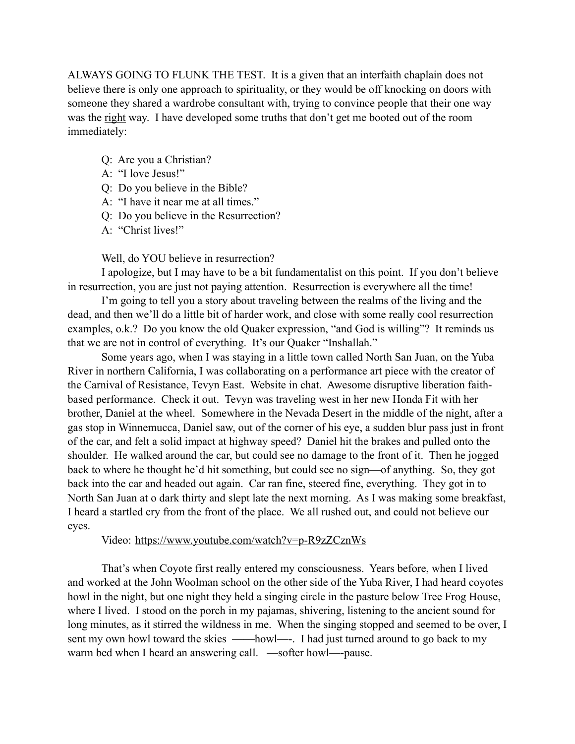ALWAYS GOING TO FLUNK THE TEST. It is a given that an interfaith chaplain does not believe there is only one approach to spirituality, or they would be off knocking on doors with someone they shared a wardrobe consultant with, trying to convince people that their one way was the right way. I have developed some truths that don't get me booted out of the room immediately:

- Q: Are you a Christian?
- A: "I love Jesus!"
- Q: Do you believe in the Bible?
- A: "I have it near me at all times."
- Q: Do you believe in the Resurrection?
- A: "Christ lives!"

Well, do YOU believe in resurrection?

 I apologize, but I may have to be a bit fundamentalist on this point. If you don't believe in resurrection, you are just not paying attention. Resurrection is everywhere all the time!

 I'm going to tell you a story about traveling between the realms of the living and the dead, and then we'll do a little bit of harder work, and close with some really cool resurrection examples, o.k.? Do you know the old Quaker expression, "and God is willing"? It reminds us that we are not in control of everything. It's our Quaker "Inshallah."

 Some years ago, when I was staying in a little town called North San Juan, on the Yuba River in northern California, I was collaborating on a performance art piece with the creator of the Carnival of Resistance, Tevyn East. Website in chat. Awesome disruptive liberation faithbased performance. Check it out. Tevyn was traveling west in her new Honda Fit with her brother, Daniel at the wheel. Somewhere in the Nevada Desert in the middle of the night, after a gas stop in Winnemucca, Daniel saw, out of the corner of his eye, a sudden blur pass just in front of the car, and felt a solid impact at highway speed? Daniel hit the brakes and pulled onto the shoulder. He walked around the car, but could see no damage to the front of it. Then he jogged back to where he thought he'd hit something, but could see no sign—of anything. So, they got back into the car and headed out again. Car ran fine, steered fine, everything. They got in to North San Juan at o dark thirty and slept late the next morning. As I was making some breakfast, I heard a startled cry from the front of the place. We all rushed out, and could not believe our eyes.

#### Video: <https://www.youtube.com/watch?v=p-R9zZCznWs>

 That's when Coyote first really entered my consciousness. Years before, when I lived and worked at the John Woolman school on the other side of the Yuba River, I had heard coyotes howl in the night, but one night they held a singing circle in the pasture below Tree Frog House, where I lived. I stood on the porch in my pajamas, shivering, listening to the ancient sound for long minutes, as it stirred the wildness in me. When the singing stopped and seemed to be over, I sent my own howl toward the skies ——howl—-. I had just turned around to go back to my warm bed when I heard an answering call. —softer howl—-pause.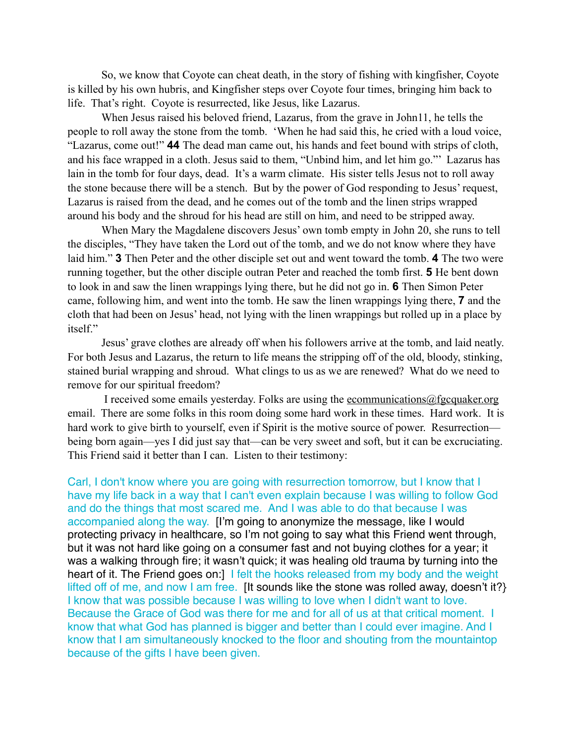So, we know that Coyote can cheat death, in the story of fishing with kingfisher, Coyote is killed by his own hubris, and Kingfisher steps over Coyote four times, bringing him back to life. That's right. Coyote is resurrected, like Jesus, like Lazarus.

 When Jesus raised his beloved friend, Lazarus, from the grave in John11, he tells the people to roll away the stone from the tomb. 'When he had said this, he cried with a loud voice, "Lazarus, come out!" **44** The dead man came out, his hands and feet bound with strips of cloth, and his face wrapped in a cloth. Jesus said to them, "Unbind him, and let him go."' Lazarus has lain in the tomb for four days, dead. It's a warm climate. His sister tells Jesus not to roll away the stone because there will be a stench. But by the power of God responding to Jesus' request, Lazarus is raised from the dead, and he comes out of the tomb and the linen strips wrapped around his body and the shroud for his head are still on him, and need to be stripped away.

 When Mary the Magdalene discovers Jesus' own tomb empty in John 20, she runs to tell the disciples, "They have taken the Lord out of the tomb, and we do not know where they have laid him." **3** Then Peter and the other disciple set out and went toward the tomb. **4** The two were running together, but the other disciple outran Peter and reached the tomb first. **5** He bent down to look in and saw the linen wrappings lying there, but he did not go in. **6** Then Simon Peter came, following him, and went into the tomb. He saw the linen wrappings lying there, **7** and the cloth that had been on Jesus' head, not lying with the linen wrappings but rolled up in a place by itself."

 Jesus' grave clothes are already off when his followers arrive at the tomb, and laid neatly. For both Jesus and Lazarus, the return to life means the stripping off of the old, bloody, stinking, stained burial wrapping and shroud. What clings to us as we are renewed? What do we need to remove for our spiritual freedom?

 I received some emails yesterday. Folks are using the [ecommunications@fgcquaker.org](mailto:ecommunications@fgcquaker.org) email. There are some folks in this room doing some hard work in these times. Hard work. It is hard work to give birth to yourself, even if Spirit is the motive source of power. Resurrection being born again—yes I did just say that—can be very sweet and soft, but it can be excruciating. This Friend said it better than I can. Listen to their testimony:

Carl, I don't know where you are going with resurrection tomorrow, but I know that I have my life back in a way that I can't even explain because I was willing to follow God and do the things that most scared me. And I was able to do that because I was accompanied along the way. [I'm going to anonymize the message, like I would protecting privacy in healthcare, so I'm not going to say what this Friend went through, but it was not hard like going on a consumer fast and not buying clothes for a year; it was a walking through fire; it wasn't quick; it was healing old trauma by turning into the heart of it. The Friend goes on: I felt the hooks released from my body and the weight lifted off of me, and now I am free. [It sounds like the stone was rolled away, doesn't it?} I know that was possible because I was willing to love when I didn't want to love. Because the Grace of God was there for me and for all of us at that critical moment. I know that what God has planned is bigger and better than I could ever imagine. And I know that I am simultaneously knocked to the floor and shouting from the mountaintop because of the gifts I have been given.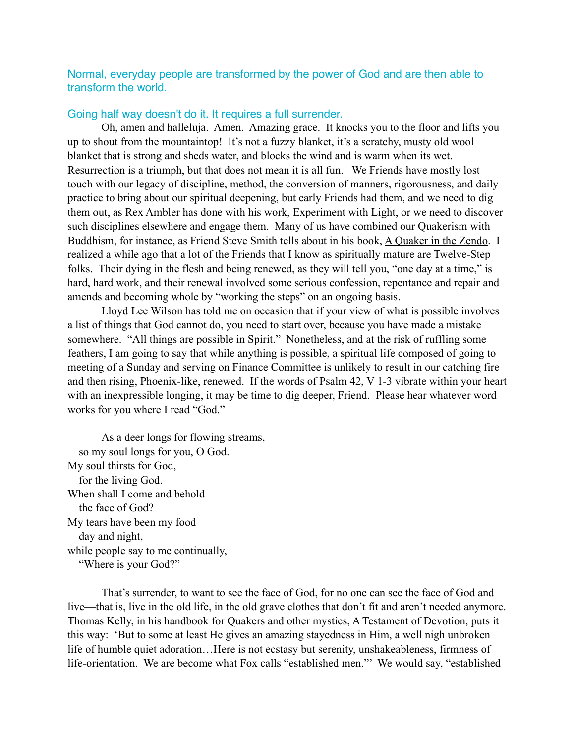Normal, everyday people are transformed by the power of God and are then able to transform the world.

#### Going half way doesn't do it. It requires a full surrender.

 Oh, amen and halleluja. Amen. Amazing grace. It knocks you to the floor and lifts you up to shout from the mountaintop! It's not a fuzzy blanket, it's a scratchy, musty old wool blanket that is strong and sheds water, and blocks the wind and is warm when its wet. Resurrection is a triumph, but that does not mean it is all fun. We Friends have mostly lost touch with our legacy of discipline, method, the conversion of manners, rigorousness, and daily practice to bring about our spiritual deepening, but early Friends had them, and we need to dig them out, as Rex Ambler has done with his work, Experiment with Light, or we need to discover such disciplines elsewhere and engage them. Many of us have combined our Quakerism with Buddhism, for instance, as Friend Steve Smith tells about in his book, A Quaker in the Zendo. I realized a while ago that a lot of the Friends that I know as spiritually mature are Twelve-Step folks. Their dying in the flesh and being renewed, as they will tell you, "one day at a time," is hard, hard work, and their renewal involved some serious confession, repentance and repair and amends and becoming whole by "working the steps" on an ongoing basis.

 Lloyd Lee Wilson has told me on occasion that if your view of what is possible involves a list of things that God cannot do, you need to start over, because you have made a mistake somewhere. "All things are possible in Spirit." Nonetheless, and at the risk of ruffling some feathers, I am going to say that while anything is possible, a spiritual life composed of going to meeting of a Sunday and serving on Finance Committee is unlikely to result in our catching fire and then rising, Phoenix-like, renewed. If the words of Psalm 42, V 1-3 vibrate within your heart with an inexpressible longing, it may be time to dig deeper, Friend. Please hear whatever word works for you where I read "God."

 As a deer longs for flowing streams, so my soul longs for you, O God. My soul thirsts for God, for the living God. When shall I come and behold the face of God? My tears have been my food day and night, while people say to me continually, "Where is your God?"

 That's surrender, to want to see the face of God, for no one can see the face of God and live—that is, live in the old life, in the old grave clothes that don't fit and aren't needed anymore. Thomas Kelly, in his handbook for Quakers and other mystics, A Testament of Devotion, puts it this way: 'But to some at least He gives an amazing stayedness in Him, a well nigh unbroken life of humble quiet adoration…Here is not ecstasy but serenity, unshakeableness, firmness of life-orientation. We are become what Fox calls "established men."' We would say, "established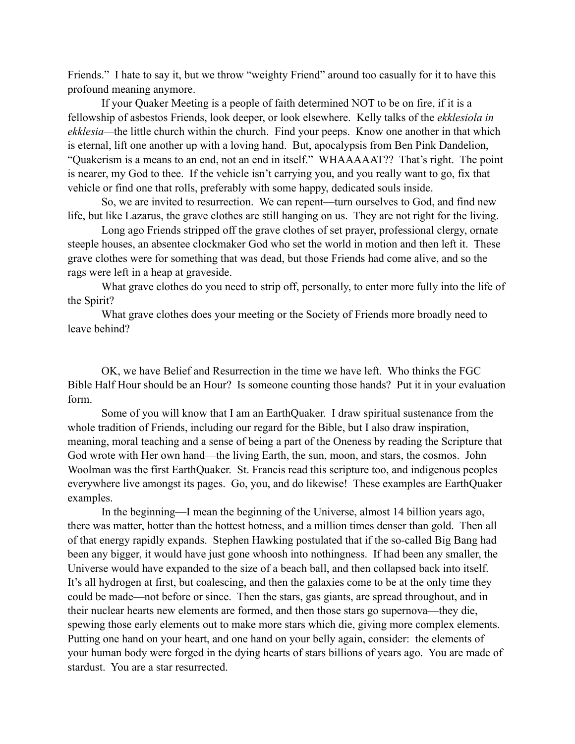Friends." I hate to say it, but we throw "weighty Friend" around too casually for it to have this profound meaning anymore.

 If your Quaker Meeting is a people of faith determined NOT to be on fire, if it is a fellowship of asbestos Friends, look deeper, or look elsewhere. Kelly talks of the *ekklesiola in ekklesia—*the little church within the church. Find your peeps. Know one another in that which is eternal, lift one another up with a loving hand. But, apocalypsis from Ben Pink Dandelion, "Quakerism is a means to an end, not an end in itself." WHAAAAAT?? That's right. The point is nearer, my God to thee. If the vehicle isn't carrying you, and you really want to go, fix that vehicle or find one that rolls, preferably with some happy, dedicated souls inside.

 So, we are invited to resurrection. We can repent—turn ourselves to God, and find new life, but like Lazarus, the grave clothes are still hanging on us. They are not right for the living.

 Long ago Friends stripped off the grave clothes of set prayer, professional clergy, ornate steeple houses, an absentee clockmaker God who set the world in motion and then left it. These grave clothes were for something that was dead, but those Friends had come alive, and so the rags were left in a heap at graveside.

 What grave clothes do you need to strip off, personally, to enter more fully into the life of the Spirit?

 What grave clothes does your meeting or the Society of Friends more broadly need to leave behind?

 OK, we have Belief and Resurrection in the time we have left. Who thinks the FGC Bible Half Hour should be an Hour? Is someone counting those hands? Put it in your evaluation form.

 Some of you will know that I am an EarthQuaker. I draw spiritual sustenance from the whole tradition of Friends, including our regard for the Bible, but I also draw inspiration, meaning, moral teaching and a sense of being a part of the Oneness by reading the Scripture that God wrote with Her own hand—the living Earth, the sun, moon, and stars, the cosmos. John Woolman was the first EarthQuaker. St. Francis read this scripture too, and indigenous peoples everywhere live amongst its pages. Go, you, and do likewise! These examples are EarthQuaker examples.

 In the beginning—I mean the beginning of the Universe, almost 14 billion years ago, there was matter, hotter than the hottest hotness, and a million times denser than gold. Then all of that energy rapidly expands. Stephen Hawking postulated that if the so-called Big Bang had been any bigger, it would have just gone whoosh into nothingness. If had been any smaller, the Universe would have expanded to the size of a beach ball, and then collapsed back into itself. It's all hydrogen at first, but coalescing, and then the galaxies come to be at the only time they could be made—not before or since. Then the stars, gas giants, are spread throughout, and in their nuclear hearts new elements are formed, and then those stars go supernova—they die, spewing those early elements out to make more stars which die, giving more complex elements. Putting one hand on your heart, and one hand on your belly again, consider: the elements of your human body were forged in the dying hearts of stars billions of years ago. You are made of stardust. You are a star resurrected.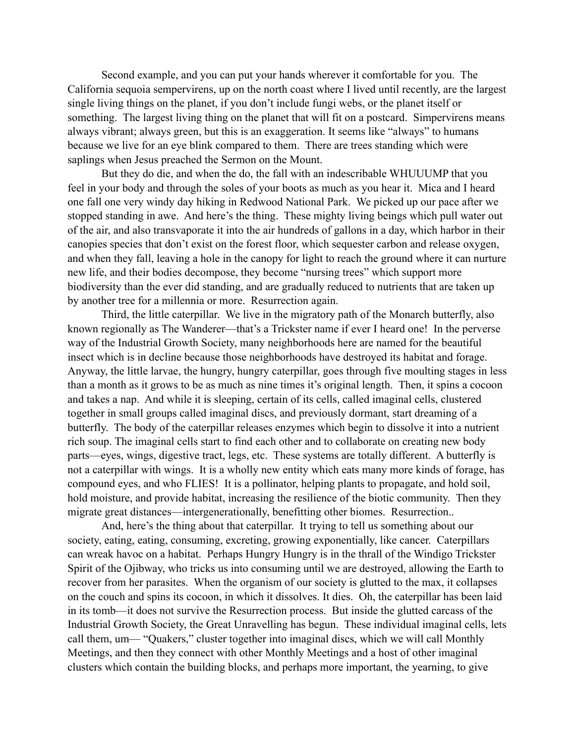Second example, and you can put your hands wherever it comfortable for you. The California sequoia sempervirens, up on the north coast where I lived until recently, are the largest single living things on the planet, if you don't include fungi webs, or the planet itself or something. The largest living thing on the planet that will fit on a postcard. Simpervirens means always vibrant; always green, but this is an exaggeration. It seems like "always" to humans because we live for an eye blink compared to them. There are trees standing which were saplings when Jesus preached the Sermon on the Mount.

 But they do die, and when the do, the fall with an indescribable WHUUUMP that you feel in your body and through the soles of your boots as much as you hear it. Mica and I heard one fall one very windy day hiking in Redwood National Park. We picked up our pace after we stopped standing in awe. And here's the thing. These mighty living beings which pull water out of the air, and also transvaporate it into the air hundreds of gallons in a day, which harbor in their canopies species that don't exist on the forest floor, which sequester carbon and release oxygen, and when they fall, leaving a hole in the canopy for light to reach the ground where it can nurture new life, and their bodies decompose, they become "nursing trees" which support more biodiversity than the ever did standing, and are gradually reduced to nutrients that are taken up by another tree for a millennia or more. Resurrection again.

 Third, the little caterpillar. We live in the migratory path of the Monarch butterfly, also known regionally as The Wanderer—that's a Trickster name if ever I heard one! In the perverse way of the Industrial Growth Society, many neighborhoods here are named for the beautiful insect which is in decline because those neighborhoods have destroyed its habitat and forage. Anyway, the little larvae, the hungry, hungry caterpillar, goes through five moulting stages in less than a month as it grows to be as much as nine times it's original length. Then, it spins a cocoon and takes a nap. And while it is sleeping, certain of its cells, called imaginal cells, clustered together in small groups called imaginal discs, and previously dormant, start dreaming of a butterfly. The body of the caterpillar releases enzymes which begin to dissolve it into a nutrient rich soup. The imaginal cells start to find each other and to collaborate on creating new body parts—eyes, wings, digestive tract, legs, etc. These systems are totally different. A butterfly is not a caterpillar with wings. It is a wholly new entity which eats many more kinds of forage, has compound eyes, and who FLIES! It is a pollinator, helping plants to propagate, and hold soil, hold moisture, and provide habitat, increasing the resilience of the biotic community. Then they migrate great distances—intergenerationally, benefitting other biomes. Resurrection..

 And, here's the thing about that caterpillar. It trying to tell us something about our society, eating, eating, consuming, excreting, growing exponentially, like cancer. Caterpillars can wreak havoc on a habitat. Perhaps Hungry Hungry is in the thrall of the Windigo Trickster Spirit of the Ojibway, who tricks us into consuming until we are destroyed, allowing the Earth to recover from her parasites. When the organism of our society is glutted to the max, it collapses on the couch and spins its cocoon, in which it dissolves. It dies. Oh, the caterpillar has been laid in its tomb—it does not survive the Resurrection process. But inside the glutted carcass of the Industrial Growth Society, the Great Unravelling has begun. These individual imaginal cells, lets call them, um— "Quakers," cluster together into imaginal discs, which we will call Monthly Meetings, and then they connect with other Monthly Meetings and a host of other imaginal clusters which contain the building blocks, and perhaps more important, the yearning, to give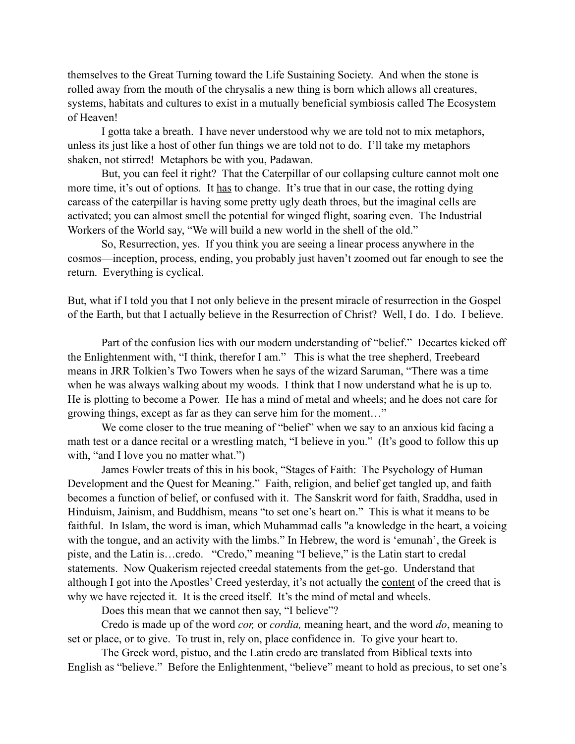themselves to the Great Turning toward the Life Sustaining Society. And when the stone is rolled away from the mouth of the chrysalis a new thing is born which allows all creatures, systems, habitats and cultures to exist in a mutually beneficial symbiosis called The Ecosystem of Heaven!

 I gotta take a breath. I have never understood why we are told not to mix metaphors, unless its just like a host of other fun things we are told not to do. I'll take my metaphors shaken, not stirred! Metaphors be with you, Padawan.

 But, you can feel it right? That the Caterpillar of our collapsing culture cannot molt one more time, it's out of options. It has to change. It's true that in our case, the rotting dying carcass of the caterpillar is having some pretty ugly death throes, but the imaginal cells are activated; you can almost smell the potential for winged flight, soaring even. The Industrial Workers of the World say, "We will build a new world in the shell of the old."

 So, Resurrection, yes. If you think you are seeing a linear process anywhere in the cosmos—inception, process, ending, you probably just haven't zoomed out far enough to see the return. Everything is cyclical.

But, what if I told you that I not only believe in the present miracle of resurrection in the Gospel of the Earth, but that I actually believe in the Resurrection of Christ? Well, I do. I do. I believe.

 Part of the confusion lies with our modern understanding of "belief." Decartes kicked off the Enlightenment with, "I think, therefor I am." This is what the tree shepherd, Treebeard means in JRR Tolkien's Two Towers when he says of the wizard Saruman, "There was a time when he was always walking about my woods. I think that I now understand what he is up to. He is plotting to become a Power. He has a mind of metal and wheels; and he does not care for growing things, except as far as they can serve him for the moment…"

We come closer to the true meaning of "belief" when we say to an anxious kid facing a math test or a dance recital or a wrestling match, "I believe in you." (It's good to follow this up with, "and I love you no matter what.")

 James Fowler treats of this in his book, "Stages of Faith: The Psychology of Human Development and the Quest for Meaning." Faith, religion, and belief get tangled up, and faith becomes a function of belief, or confused with it. The Sanskrit word for faith, Sraddha, used in Hinduism, Jainism, and Buddhism, means "to set one's heart on." This is what it means to be faithful. In Islam, the word is iman, which Muhammad calls "a knowledge in the heart, a voicing with the tongue, and an activity with the limbs." In Hebrew, the word is 'emunah', the Greek is piste, and the Latin is…credo. "Credo," meaning "I believe," is the Latin start to credal statements. Now Quakerism rejected creedal statements from the get-go. Understand that although I got into the Apostles' Creed yesterday, it's not actually the content of the creed that is why we have rejected it. It is the creed itself. It's the mind of metal and wheels.

Does this mean that we cannot then say, "I believe"?

 Credo is made up of the word *cor,* or *cordia,* meaning heart, and the word *do*, meaning to set or place, or to give. To trust in, rely on, place confidence in. To give your heart to.

 The Greek word, pistuo, and the Latin credo are translated from Biblical texts into English as "believe." Before the Enlightenment, "believe" meant to hold as precious, to set one's